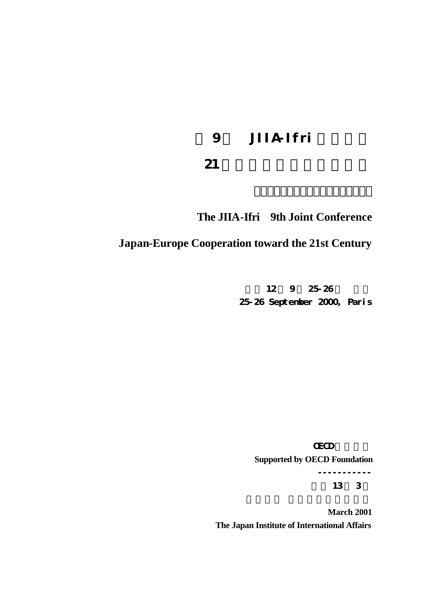# 9 JIIA Ifri

# $21$

# **The JIIA-Ifri 9th Joint Conference**

# **Japan-Europe Cooperation toward the 21st Century**

12 9 25:26 25-26 September 2000, Paris

**GECD** 

**Supported by OECD Foundation**

----------- 平成 13 3

**March 2001 The Japan Institute of International Affairs**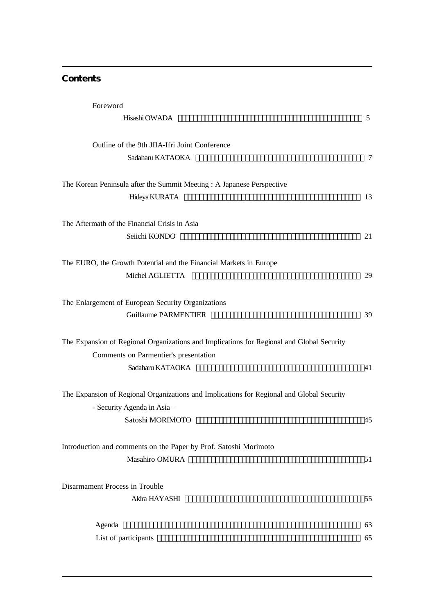### **Contents**

 $\overline{a}$ 

| Foreword                                                                                                                           |                |
|------------------------------------------------------------------------------------------------------------------------------------|----------------|
| Hisashi OWADA                                                                                                                      | $5^{\circ}$    |
| Outline of the 9th JIIA-Ifri Joint Conference                                                                                      |                |
| Sadaharu KATAOKA                                                                                                                   | $\overline{7}$ |
| The Korean Peninsula after the Summit Meeting: A Japanese Perspective                                                              |                |
| Hideya KURATA                                                                                                                      | 13             |
| The Aftermath of the Financial Crisis in Asia                                                                                      |                |
| Seiichi KONDO                                                                                                                      | 21             |
| The EURO, the Growth Potential and the Financial Markets in Europe                                                                 |                |
| Michel AGLIETTA                                                                                                                    | 29             |
| The Enlargement of European Security Organizations                                                                                 |                |
| <b>Guillaume PARMENTIER</b>                                                                                                        | 39             |
| The Expansion of Regional Organizations and Implications for Regional and Global Security<br>Comments on Parmentier's presentation |                |
| Sadaharu KATAOKA                                                                                                                   | 41             |
| The Expansion of Regional Organizations and Implications for Regional and Global Security                                          |                |
| - Security Agenda in Asia -                                                                                                        |                |
| Satoshi MORIMOTO                                                                                                                   | 45             |
| Introduction and comments on the Paper by Prof. Satoshi Morimoto                                                                   |                |
| Masahiro OMURA                                                                                                                     | 51             |
| Disarmament Process in Trouble                                                                                                     |                |
| Akira HAYASHI                                                                                                                      | 55             |
| Agenda                                                                                                                             | 63             |
| List of participants                                                                                                               | 65             |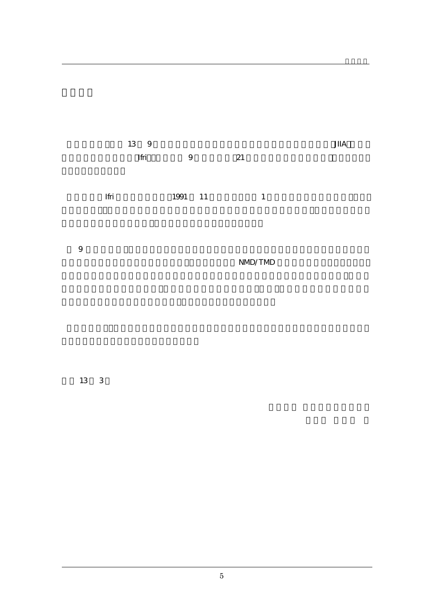

はいしょう しゅうしゅう しゅうしゅう しゅうしゅう しゅうしゅう しゅうしゅう しゅうしゅう

9  $\blacksquare$ 

NMD/TMD

平成 13 3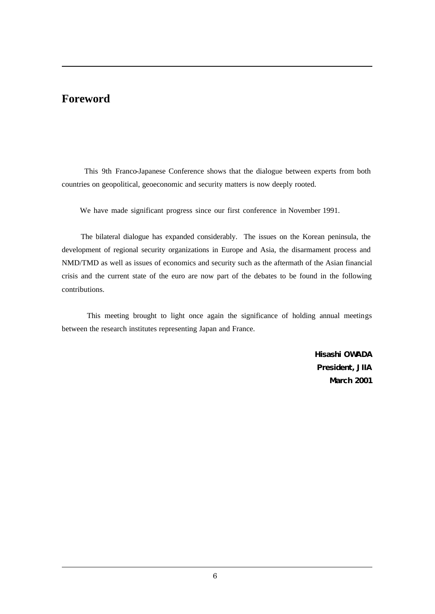# **Foreword**

 $\overline{a}$ 

 $\overline{a}$ 

 This 9th Franco-Japanese Conference shows that the dialogue between experts from both countries on geopolitical, geoeconomic and security matters is now deeply rooted.

We have made significant progress since our first conference in November 1991.

 The bilateral dialogue has expanded considerably. The issues on the Korean peninsula, the development of regional security organizations in Europe and Asia, the disarmament process and NMD/TMD as well as issues of economics and security such as the aftermath of the Asian financial crisis and the current state of the euro are now part of the debates to be found in the following contributions.

 This meeting brought to light once again the significance of holding annual meetings between the research institutes representing Japan and France.

> **Hisashi OWADA President, JIIA March 2001**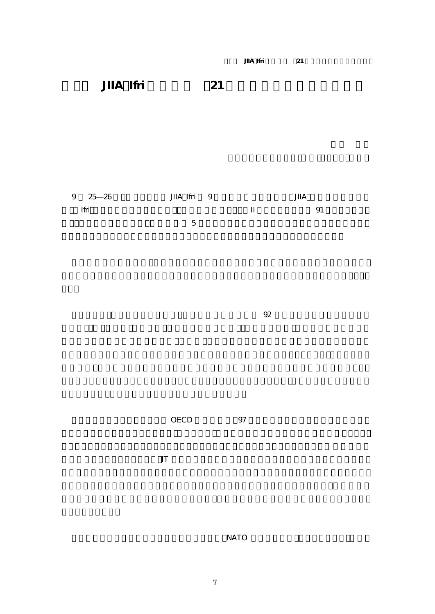# JIIA Ifri 21

| 9 25 26 | JIIA Ifri 9    | $J\!I\!I\!A$      |  |
|---------|----------------|-------------------|--|
| Ifri    |                | 91<br>$\mathbf I$ |  |
|         | $\overline{5}$ |                   |  |
|         |                |                   |  |
|         |                |                   |  |
|         |                |                   |  |
|         |                |                   |  |
|         |                |                   |  |

 $\mathcal{S}2$ 

 $OECD$   $97$ 

 $\mathbb{I}$ 

 $NATO$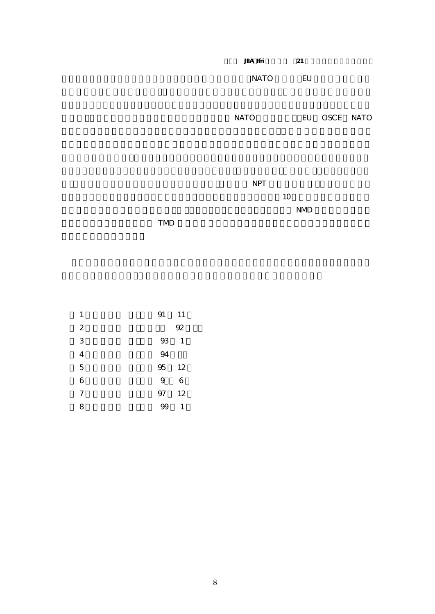|            | JIA Ifri    | 21          |              |  |
|------------|-------------|-------------|--------------|--|
|            | <b>NATO</b> | EU          |              |  |
|            | <b>NATO</b> |             | EU OSCE NATO |  |
|            | NPT         | 10<br>$NMD$ |              |  |
| <b>TMD</b> |             |             |              |  |

| 1                | 91<br>11  |
|------------------|-----------|
| $\boldsymbol{2}$ | 92        |
| 3                | $93$<br>1 |
| 4                | 94        |
| 5                | 95<br>12  |
| 6                | 9<br>6    |
| 7                | 12<br>97  |
| 8                | 1<br>99   |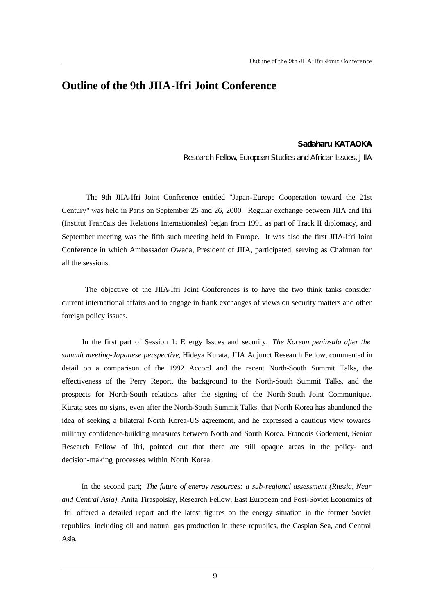## **Outline of the 9th JIIA-Ifri Joint Conference**

### **Sadaharu KATAOKA**

Research Fellow, European Studies and African Issues, JIIA

 The 9th JIIA-Ifri Joint Conference entitled "Japan-Europe Cooperation toward the 21st Century" was held in Paris on September 25 and 26, 2000. Regular exchange between JIIA and Ifri (Institut Francais des Relations Internationales) began from 1991 as part of Track II diplomacy, and September meeting was the fifth such meeting held in Europe. It was also the first JIIA-Ifri Joint Conference in which Ambassador Owada, President of JIIA, participated, serving as Chairman for all the sessions.

 The objective of the JIIA-Ifri Joint Conferences is to have the two think tanks consider current international affairs and to engage in frank exchanges of views on security matters and other foreign policy issues.

 In the first part of Session 1: Energy Issues and security; *The Korean peninsula after the summit meeting-Japanese perspective*, Hideya Kurata, JIIA Adjunct Research Fellow, commented in detail on a comparison of the 1992 Accord and the recent North-South Summit Talks, the effectiveness of the Perry Report, the background to the North-South Summit Talks, and the prospects for North-South relations after the signing of the North-South Joint Communique. Kurata sees no signs, even after the North-South Summit Talks, that North Korea has abandoned the idea of seeking a bilateral North Korea-US agreement, and he expressed a cautious view towards military confidence-building measures between North and South Korea. Francois Godement, Senior Research Fellow of Ifri, pointed out that there are still opaque areas in the policy- and decision-making processes within North Korea.

 In the second part; *The future of energy resources: a sub-regional assessment (Russia, Near and Central Asia)*, Anita Tiraspolsky, Research Fellow, East European and Post-Soviet Economies of Ifri, offered a detailed report and the latest figures on the energy situation in the former Soviet republics, including oil and natural gas production in these republics, the Caspian Sea, and Central Asia.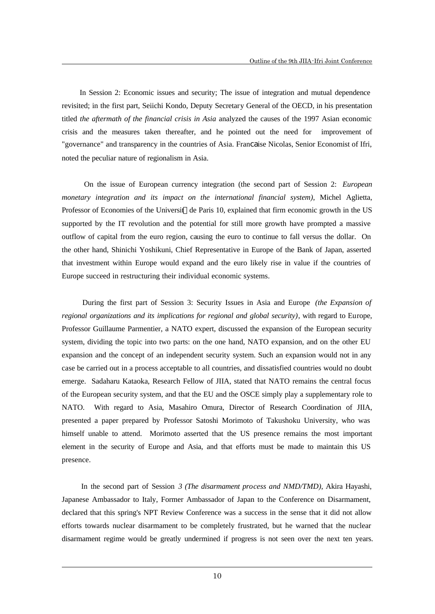In Session 2: Economic issues and security; The issue of integration and mutual dependence revisited; in the first part, Seiichi Kondo, Deputy Secretary General of the OECD, in his presentation titled *the aftermath of the financial crisis in Asia* analyzed the causes of the 1997 Asian economic crisis and the measures taken thereafter, and he pointed out the need for improvement of "governance" and transparency in the countries of Asia. Francaise Nicolas, Senior Economist of Ifri, noted the peculiar nature of regionalism in Asia.

 On the issue of European currency integration (the second part of Session 2: *European monetary integration and its impact on the international financial system)*, Michel Aglietta, Professor of Economies of the Universit de Paris 10, explained that firm economic growth in the US supported by the IT revolution and the potential for still more growth have prompted a massive outflow of capital from the euro region, causing the euro to continue to fall versus the dollar. On the other hand, Shinichi Yoshikuni, Chief Representative in Europe of the Bank of Japan, asserted that investment within Europe would expand and the euro likely rise in value if the countries of Europe succeed in restructuring their individual economic systems.

 During the first part of Session 3: Security Issues in Asia and Europe *(the Expansion of regional organizations and its implications for regional and global security)*, with regard to Europe, Professor Guillaume Parmentier, a NATO expert, discussed the expansion of the European security system, dividing the topic into two parts: on the one hand, NATO expansion, and on the other EU expansion and the concept of an independent security system. Such an expansion would not in any case be carried out in a process acceptable to all countries, and dissatisfied countries would no doubt emerge. Sadaharu Kataoka, Research Fellow of JIIA, stated that NATO remains the central focus of the European security system, and that the EU and the OSCE simply play a supplementary role to NATO. With regard to Asia, Masahiro Omura, Director of Research Coordination of JIIA, presented a paper prepared by Professor Satoshi Morimoto of Takushoku University, who was himself unable to attend. Morimoto asserted that the US presence remains the most important element in the security of Europe and Asia, and that efforts must be made to maintain this US presence.

 In the second part of Session *3 (The disarmament process and NMD/TMD)*, Akira Hayashi, Japanese Ambassador to Italy, Former Ambassador of Japan to the Conference on Disarmament, declared that this spring's NPT Review Conference was a success in the sense that it did not allow efforts towards nuclear disarmament to be completely frustrated, but he warned that the nuclear disarmament regime would be greatly undermined if progress is not seen over the next ten years.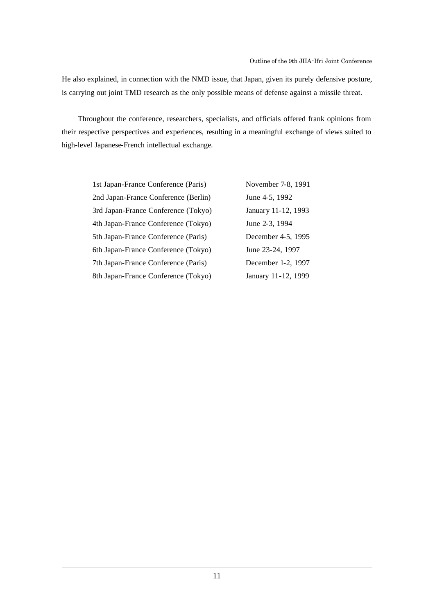He also explained, in connection with the NMD issue, that Japan, given its purely defensive posture, is carrying out joint TMD research as the only possible means of defense against a missile threat.

 Throughout the conference, researchers, specialists, and officials offered frank opinions from their respective perspectives and experiences, resulting in a meaningful exchange of views suited to high-level Japanese-French intellectual exchange.

| 1st Japan-France Conference (Paris)  | November 7-8, 1991  |
|--------------------------------------|---------------------|
| 2nd Japan-France Conference (Berlin) | June 4-5, 1992      |
| 3rd Japan-France Conference (Tokyo)  | January 11-12, 1993 |
| 4th Japan-France Conference (Tokyo)  | June 2-3, 1994      |
| 5th Japan-France Conference (Paris)  | December 4-5, 1995  |
| 6th Japan-France Conference (Tokyo)  | June 23-24, 1997    |
| 7th Japan-France Conference (Paris)  | December 1-2, 1997  |
| 8th Japan-France Conference (Tokyo)  | January 11-12, 1999 |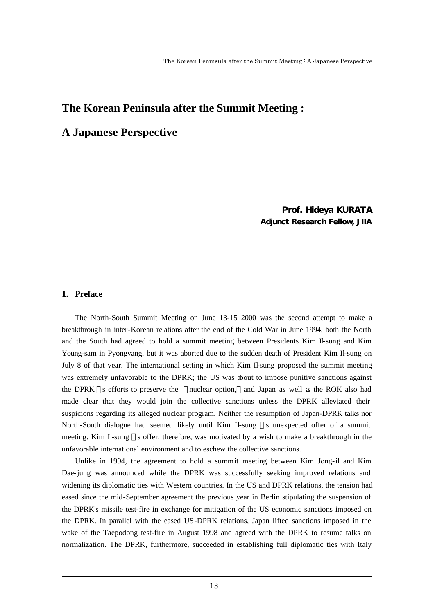# **The Korean Peninsula after the Summit Meeting :**

## **A Japanese Perspective**

### Prof. Hideya KURATA Adjunct Research Fellow, JIIA

### **1. Preface**

 $\overline{a}$ 

The North-South Summit Meeting on June 13-15 2000 was the second attempt to make a breakthrough in inter-Korean relations after the end of the Cold War in June 1994, both the North and the South had agreed to hold a summit meeting between Presidents Kim Il-sung and Kim Young-sam in Pyongyang, but it was aborted due to the sudden death of President Kim Il-sung on July 8 of that year. The international setting in which Kim Il-sung proposed the summit meeting was extremely unfavorable to the DPRK; the US was about to impose punitive sanctions against the DPRK s efforts to preserve the nuclear option, and Japan as well as the ROK also had made clear that they would join the collective sanctions unless the DPRK alleviated their suspicions regarding its alleged nuclear program. Neither the resumption of Japan-DPRK talks nor North-South dialogue had seemed likely until Kim Il-sung s unexpected offer of a summit meeting. Kim Il-sung s offer, therefore, was motivated by a wish to make a breakthrough in the unfavorable international environment and to eschew the collective sanctions.

Unlike in 1994, the agreement to hold a summit meeting between Kim Jong-il and Kim Dae-jung was announced while the DPRK was successfully seeking improved relations and widening its diplomatic ties with Western countries. In the US and DPRK relations, the tension had eased since the mid-September agreement the previous year in Berlin stipulating the suspension of the DPRK's missile test-fire in exchange for mitigation of the US economic sanctions imposed on the DPRK. In parallel with the eased US-DPRK relations, Japan lifted sanctions imposed in the wake of the Taepodong test-fire in August 1998 and agreed with the DPRK to resume talks on normalization. The DPRK, furthermore, succeeded in establishing full diplomatic ties with Italy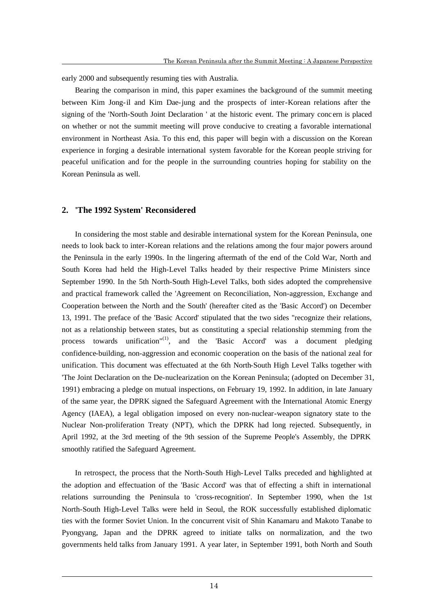early 2000 and subsequently resuming ties with Australia.

Bearing the comparison in mind, this paper examines the background of the summit meeting between Kim Jong-il and Kim Dae-jung and the prospects of inter-Korean relations after the signing of the 'North-South Joint Declaration ' at the historic event. The primary conc ern is placed on whether or not the summit meeting will prove conducive to creating a favorable international environment in Northeast Asia. To this end, this paper will begin with a discussion on the Korean experience in forging a desirable international system favorable for the Korean people striving for peaceful unification and for the people in the surrounding countries hoping for stability on the Korean Peninsula as well.

### **2. 'The 1992 System' Reconsidered**

 $\overline{a}$ 

In considering the most stable and desirable international system for the Korean Peninsula, one needs to look back to inter-Korean relations and the relations among the four major powers around the Peninsula in the early 1990s. In the lingering aftermath of the end of the Cold War, North and South Korea had held the High-Level Talks headed by their respective Prime Ministers since September 1990. In the 5th North-South High-Level Talks, both sides adopted the comprehensive and practical framework called the 'Agreement on Reconciliation, Non-aggression, Exchange and Cooperation between the North and the South' (hereafter cited as the 'Basic Accord') on December 13, 1991. The preface of the 'Basic Accord' stipulated that the two sides "recognize their relations, not as a relationship between states, but as constituting a special relationship stemming from the process towards unification<sup>"(1)</sup>, and the 'Basic Accord' was a document pledging confidence-building, non-aggression and economic cooperation on the basis of the national zeal for unification. This document was effectuated at the 6th North-South High Level Talks together with 'The Joint Declaration on the De-nuclearization on the Korean Peninsula; (adopted on December 31, 1991) embracing a pledge on mutual inspections, on February 19, 1992. In addition, in late January of the same year, the DPRK signed the Safeguard Agreement with the International Atomic Energy Agency (IAEA), a legal obligation imposed on every non-nuclear-weapon signatory state to the Nuclear Non-proliferation Treaty (NPT), which the DPRK had long rejected. Subsequently, in April 1992, at the 3rd meeting of the 9th session of the Supreme People's Assembly, the DPRK smoothly ratified the Safeguard Agreement.

In retrospect, the process that the North-South High-Level Talks preceded and highlighted at the adoption and effectuation of the 'Basic Accord' was that of effecting a shift in international relations surrounding the Peninsula to 'cross-recognition'. In September 1990, when the 1st North-South High-Level Talks were held in Seoul, the ROK successfully established diplomatic ties with the former Soviet Union. In the concurrent visit of Shin Kanamaru and Makoto Tanabe to Pyongyang, Japan and the DPRK agreed to initiate talks on normalization, and the two governments held talks from January 1991. A year later, in September 1991, both North and South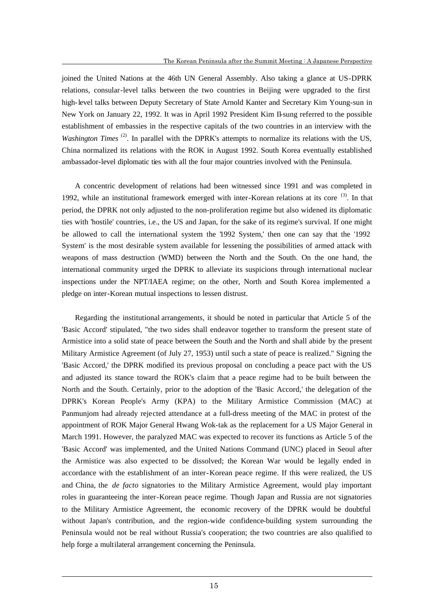joined the United Nations at the 46th UN General Assembly. Also taking a glance at US-DPRK relations, consular-level talks between the two countries in Beijing were upgraded to the first high-level talks between Deputy Secretary of State Arnold Kanter and Secretary Kim Young-sun in New York on January 22, 1992. It was in April 1992 President Kim Il-sung referred to the possible establishment of embassies in the respective capitals of the two countries in an interview with the *Washington Times* <sup>(2)</sup>. In parallel with the DPRK's attempts to normalize its relations with the US, China normalized its relations with the ROK in August 1992. South Korea eventually established ambassador-level diplomatic ties with all the four major countries involved with the Peninsula.

A concentric development of relations had been witnessed since 1991 and was completed in 1992, while an institutional framework emerged with inter-Korean relations at its core  $(3)$ . In that period, the DPRK not only adjusted to the non-proliferation regime but also widened its diplomatic ties with 'hostile' countries, i.e., the US and Japan, for the sake of its regime's survival. If one might be allowed to call the international system the '1992 System,' then one can say that the '1992 System' is the most desirable system available for lessening the possibilities of armed attack with weapons of mass destruction (WMD) between the North and the South. On the one hand, the international community urged the DPRK to alleviate its suspicions through international nuclear inspections under the NPT/IAEA regime; on the other, North and South Korea implemented a pledge on inter-Korean mutual inspections to lessen distrust.

Regarding the institutional arrangements, it should be noted in particular that Article 5 of the 'Basic Accord' stipulated, "the two sides shall endeavor together to transform the present state of Armistice into a solid state of peace between the South and the North and shall abide by the present Military Armistice Agreement (of July 27, 1953) until such a state of peace is realized." Signing the 'Basic Accord,' the DPRK modified its previous proposal on concluding a peace pact with the US and adjusted its stance toward the ROK's claim that a peace regime had to be built between the North and the South. Certainly, prior to the adoption of the 'Basic Accord,' the delegation of the DPRK's Korean People's Army (KPA) to the Military Armistice Commission (MAC) at Panmunjom had already rejected attendance at a full-dress meeting of the MAC in protest of the appointment of ROK Major General Hwang Wok-tak as the replacement for a US Major General in March 1991. However, the paralyzed MAC was expected to recover its functions as Article 5 of the 'Basic Accord' was implemented, and the United Nations Command (UNC) placed in Seoul after the Armistice was also expected to be dissolved; the Korean War would be legally ended in accordance with the establishment of an inter-Korean peace regime. If this were realized, the US and China, the *de facto* signatories to the Military Armistice Agreement, would play important roles in guaranteeing the inter-Korean peace regime. Though Japan and Russia are not signatories to the Military Armistice Agreement, the economic recovery of the DPRK would be doubtful without Japan's contribution, and the region-wide confidence-building system surrounding the Peninsula would not be real without Russia's cooperation; the two countries are also qualified to help forge a multilateral arrangement concerning the Peninsula.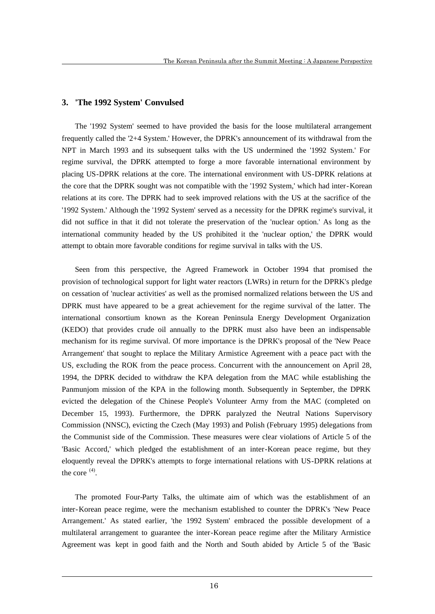### **3. 'The 1992 System' Convulsed**

The '1992 System' seemed to have provided the basis for the loose multilateral arrangement frequently called the '2+4 System.' However, the DPRK's announcement of its withdrawal from the NPT in March 1993 and its subsequent talks with the US undermined the '1992 System.' For regime survival, the DPRK attempted to forge a more favorable international environment by placing US-DPRK relations at the core. The international environment with US-DPRK relations at the core that the DPRK sought was not compatible with the '1992 System,' which had inter-Korean relations at its core. The DPRK had to seek improved relations with the US at the sacrifice of the '1992 System.' Although the '1992 System' served as a necessity for the DPRK regime's survival, it did not suffice in that it did not tolerate the preservation of the 'nuclear option.' As long as the international community headed by the US prohibited it the 'nuclear option,' the DPRK would attempt to obtain more favorable conditions for regime survival in talks with the US.

Seen from this perspective, the Agreed Framework in October 1994 that promised the provision of technological support for light water reactors (LWRs) in return for the DPRK's pledge on cessation of 'nuclear activities' as well as the promised normalized relations between the US and DPRK must have appeared to be a great achievement for the regime survival of the latter. The international consortium known as the Korean Peninsula Energy Development Organization (KEDO) that provides crude oil annually to the DPRK must also have been an indispensable mechanism for its regime survival. Of more importance is the DPRK's proposal of the 'New Peace Arrangement' that sought to replace the Military Armistice Agreement with a peace pact with the US, excluding the ROK from the peace process. Concurrent with the announcement on April 28, 1994, the DPRK decided to withdraw the KPA delegation from the MAC while establishing the Panmunjom mission of the KPA in the following month. Subsequently in September, the DPRK evicted the delegation of the Chinese People's Volunteer Army from the MAC (completed on December 15, 1993). Furthermore, the DPRK paralyzed the Neutral Nations Supervisory Commission (NNSC), evicting the Czech (May 1993) and Polish (February 1995) delegations from the Communist side of the Commission. These measures were clear violations of Article 5 of the 'Basic Accord,' which pledged the establishment of an inter-Korean peace regime, but they eloquently reveal the DPRK's attempts to forge international relations with US-DPRK relations at the core  $(4)$ .

The promoted Four-Party Talks, the ultimate aim of which was the establishment of an inter-Korean peace regime, were the mechanism established to counter the DPRK's 'New Peace Arrangement.' As stated earlier, 'the 1992 System' embraced the possible development of a multilateral arrangement to guarantee the inter-Korean peace regime after the Military Armistice Agreement was kept in good faith and the North and South abided by Article 5 of the 'Basic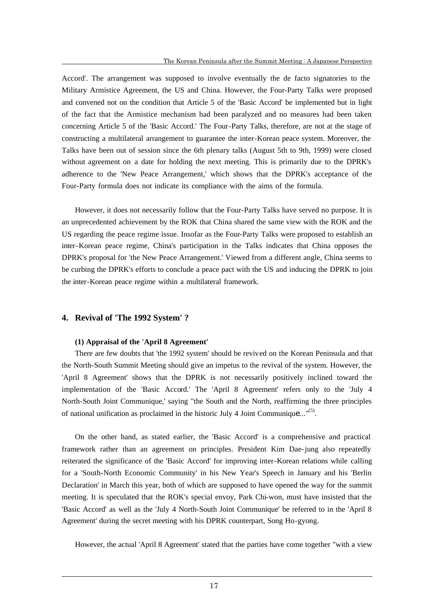Accord'. The arrangement was supposed to involve eventually the de facto signatories to the Military Armistice Agreement, the US and China. However, the Four-Party Talks were proposed and convened not on the condition that Article 5 of the 'Basic Accord' be implemented but in light of the fact that the Armistice mechanism had been paralyzed and no measures had been taken concerning Article 5 of the 'Basic Accord.' The Four-Party Talks, therefore, are not at the stage of constructing a multilateral arrangement to guarantee the inter-Korean peace system. Moreover, the Talks have been out of session since the 6th plenary talks (August 5th to 9th, 1999) were closed without agreement on a date for holding the next meeting. This is primarily due to the DPRK's adherence to the 'New Peace Arrangement,' which shows that the DPRK's acceptance of the Four-Party formula does not indicate its compliance with the aims of the formula.

However, it does not necessarily follow that the Four-Party Talks have served no purpose. It is an unprecedented achievement by the ROK that China shared the same view with the ROK and the US regarding the peace regime issue. Insofar as the Four-Party Talks were proposed to establish an inter-Korean peace regime, China's participation in the Talks indicates that China opposes the DPRK's proposal for 'the New Peace Arrangement.' Viewed from a different angle, China seems to be curbing the DPRK's efforts to conclude a peace pact with the US and inducing the DPRK to join the inter-Korean peace regime within a multilateral framework.

### **4. Revival of 'The 1992 System' ?**

 $\overline{a}$ 

### **(1) Appraisal of the 'April 8 Agreement'**

There are few doubts that 'the 1992 system' should be revived on the Korean Peninsula and that the North-South Summit Meeting should give an impetus to the revival of the system. However, the 'April 8 Agreement' shows that the DPRK is not necessarily positively inclined toward the implementation of the 'Basic Accord.' The 'April 8 Agreement' refers only to the 'July 4 North-South Joint Communique,' saying "the South and the North, reaffirming the three principles of national unification as proclaimed in the historic July 4 Joint Communique..."<sup>(5)</sup>.

On the other hand, as stated earlier, the 'Basic Accord' is a comprehensive and practical framework rather than an agreement on principles. President Kim Dae-jung also repeatedly reiterated the significance of the 'Basic Accord' for improving inter-Korean relations while calling for a 'South-North Economic Community' in his New Year's Speech in January and his 'Berlin Declaration' in March this year, both of which are supposed to have opened the way for the summit meeting. It is speculated that the ROK's special envoy, Park Chi-won, must have insisted that the 'Basic Accord' as well as the 'July 4 North-South Joint Communique' be referred to in the 'April 8 Agreement' during the secret meeting with his DPRK counterpart, Song Ho-gyong.

However, the actual 'April 8 Agreement' stated that the parties have come together "with a view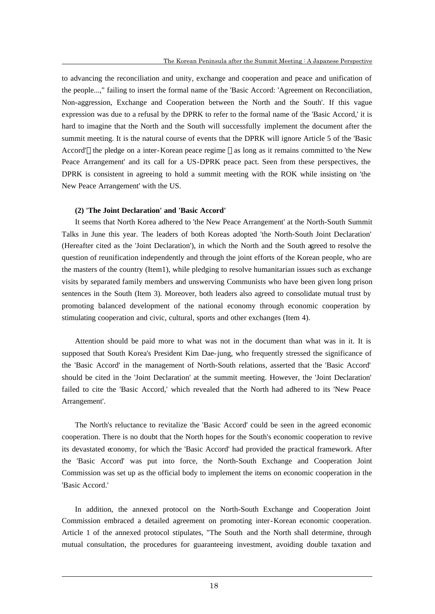to advancing the reconciliation and unity, exchange and cooperation and peace and unification of the people...," failing to insert the formal name of the 'Basic Accord: 'Agreement on Reconciliation, Non-aggression, Exchange and Cooperation between the North and the South'. If this vague expression was due to a refusal by the DPRK to refer to the formal name of the 'Basic Accord,' it is hard to imagine that the North and the South will successfully implement the document after the summit meeting. It is the natural course of events that the DPRK will ignore Article 5 of the 'Basic Accord' the pledge on a inter-Korean peace regime as long as it remains committed to 'the New Peace Arrangement' and its call for a US-DPRK peace pact. Seen from these perspectives, the DPRK is consistent in agreeing to hold a summit meeting with the ROK while insisting on 'the New Peace Arrangement' with the US.

### **(2) 'The Joint Declaration' and 'Basic Accord'**

It seems that North Korea adhered to 'the New Peace Arrangement' at the North-South Summit Talks in June this year. The leaders of both Koreas adopted 'the North-South Joint Declaration' (Hereafter cited as the 'Joint Declaration'), in which the North and the South agreed to resolve the question of reunification independently and through the joint efforts of the Korean people, who are the masters of the country (Item1), while pledging to resolve humanitarian issues such as exchange visits by separated family members and unswerving Communists who have been given long prison sentences in the South (Item 3). Moreover, both leaders also agreed to consolidate mutual trust by promoting balanced development of the national economy through economic cooperation by stimulating cooperation and civic, cultural, sports and other exchanges (Item 4).

Attention should be paid more to what was not in the document than what was in it. It is supposed that South Korea's President Kim Dae-jung, who frequently stressed the significance of the 'Basic Accord' in the management of North-South relations, asserted that the 'Basic Accord' should be cited in the 'Joint Declaration' at the summit meeting. However, the 'Joint Declaration' failed to cite the 'Basic Accord,' which revealed that the North had adhered to its 'New Peace Arrangement'.

The North's reluctance to revitalize the 'Basic Accord' could be seen in the agreed economic cooperation. There is no doubt that the North hopes for the South's economic cooperation to revive its devastated economy, for which the 'Basic Accord' had provided the practical framework. After the 'Basic Accord' was put into force, the North-South Exchange and Cooperation Joint Commission was set up as the official body to implement the items on economic cooperation in the 'Basic Accord.'

In addition, the annexed protocol on the North-South Exchange and Cooperation Joint Commission embraced a detailed agreement on promoting inter-Korean economic cooperation. Article 1 of the annexed protocol stipulates, "The South and the North shall determine, through mutual consultation, the procedures for guaranteeing investment, avoiding double taxation and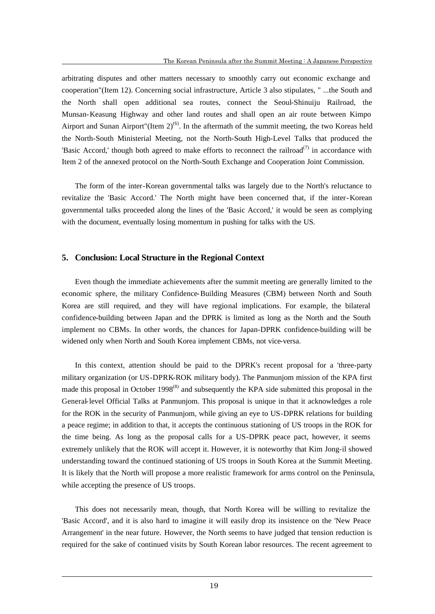arbitrating disputes and other matters necessary to smoothly carry out economic exchange and cooperation"(Item 12). Concerning social infrastructure, Article 3 also stipulates, " ...the South and the North shall open additional sea routes, connect the Seoul-Shinuiju Railroad, the Munsan-Keasung Highway and other land routes and shall open an air route between Kimpo Airport and Sunan Airport"(Item  $2^{(6)}$ . In the aftermath of the summit meeting, the two Koreas held the North-South Ministerial Meeting, not the North-South High-Level Talks that produced the 'Basic Accord,' though both agreed to make efforts to reconnect the railroad $(7)$  in accordance with Item 2 of the annexed protocol on the North-South Exchange and Cooperation Joint Commission.

The form of the inter-Korean governmental talks was largely due to the North's reluctance to revitalize the 'Basic Accord.' The North might have been concerned that, if the inter-Korean governmental talks proceeded along the lines of the 'Basic Accord,' it would be seen as complying with the document, eventually losing momentum in pushing for talks with the US.

### **5. Conclusion: Local Structure in the Regional Context**

Even though the immediate achievements after the summit meeting are generally limited to the economic sphere, the military Confidence-Building Measures (CBM) between North and South Korea are still required, and they will have regional implications. For example, the bilateral confidence-building between Japan and the DPRK is limited as long as the North and the South implement no CBMs. In other words, the chances for Japan-DPRK confidence-building will be widened only when North and South Korea implement CBMs, not vice-versa.

In this context, attention should be paid to the DPRK's recent proposal for a 'three-party military organization (or US-DPRK-ROK military body). The Panmunjom mission of the KPA first made this proposal in October 1998<sup> $(8)$ </sup> and subsequently the KPA side submitted this proposal in the General-level Official Talks at Panmunjom. This proposal is unique in that it acknowledges a role for the ROK in the security of Panmunjom, while giving an eye to US-DPRK relations for building a peace regime; in addition to that, it accepts the continuous stationing of US troops in the ROK for the time being. As long as the proposal calls for a US-DPRK peace pact, however, it seems extremely unlikely that the ROK will accept it. However, it is noteworthy that Kim Jong-il showed understanding toward the continued stationing of US troops in South Korea at the Summit Meeting. It is likely that the North will propose a more realistic framework for arms control on the Peninsula, while accepting the presence of US troops.

This does not necessarily mean, though, that North Korea will be willing to revitalize the 'Basic Accord', and it is also hard to imagine it will easily drop its insistence on the 'New Peace Arrangement' in the near future. However, the North seems to have judged that tension reduction is required for the sake of continued visits by South Korean labor resources. The recent agreement to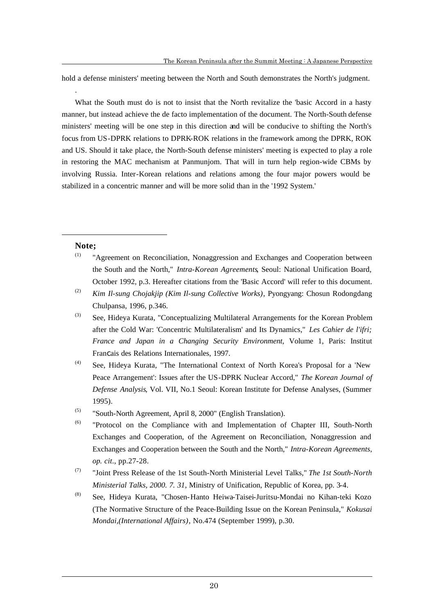hold a defense ministers' meeting between the North and South demonstrates the North's judgment.

What the South must do is not to insist that the North revitalize the 'basic Accord in a hasty manner, but instead achieve the de facto implementation of the document. The North-South defense ministers' meeting will be one step in this direction and will be conducive to shifting the North's focus from US-DPRK relations to DPRK-ROK relations in the framework among the DPRK, ROK and US. Should it take place, the North-South defense ministers' meeting is expected to play a role in restoring the MAC mechanism at Panmunjom. That will in turn help region-wide CBMs by involving Russia. Inter-Korean relations and relations among the four major powers would be stabilized in a concentric manner and will be more solid than in the '1992 System.'

### **Note;**

 $\overline{a}$ 

.

- (1) "Agreement on Reconciliation, Nonaggression and Exchanges and Cooperation between the South and the North," *Intra-Korean Agreements*, Seoul: National Unification Board, October 1992, p.3. Hereafter citations from the 'Basic Accord' will refer to this document.
- (2) *Kim Il-sung Chojakjip (Kim Il-sung Collective Works)*, Pyongyang: Chosun Rodongdang Chulpansa, 1996, p.346.
- (3) See, Hideya Kurata, "Conceptualizing Multilateral Arrangements for the Korean Problem after the Cold War: 'Concentric Multilateralism' and Its Dynamics," *Les Cahier de l'ifri; France and Japan in a Changing Security Environment*, Volume 1, Paris: Institut Francais des Relations Internationales, 1997.
- (4) See, Hideya Kurata, "The International Context of North Korea's Proposal for a 'New Peace Arrangement': Issues after the US-DPRK Nuclear Accord," *The Korean Journal of Defense Analysis*, Vol. VII, No.1 Seoul: Korean Institute for Defense Analyses, (Summer 1995).
- (5) "South-North Agreement, April 8, 2000" (English Translation).
- (6) "Protocol on the Compliance with and Implementation of Chapter III, South-North Exchanges and Cooperation, of the Agreement on Reconciliation, Nonaggression and Exchanges and Cooperation between the South and the North," *Intra-Korean Agreements, op. cit*., pp.27-28.
- (7) "Joint Press Release of the 1st South-North Ministerial Level Talks," *The 1st South-North Ministerial Talks, 2000. 7. 31*, Ministry of Unification, Republic of Korea, pp. 3-4.
- (8) See, Hideya Kurata, "Chosen-Hanto Heiwa-Taisei-Juritsu-Mondai no Kihan-teki Kozo (The Normative Structure of the Peace-Building Issue on the Korean Peninsula," *Kokusai Mondai,(International Affairs)*, No.474 (September 1999), p.30.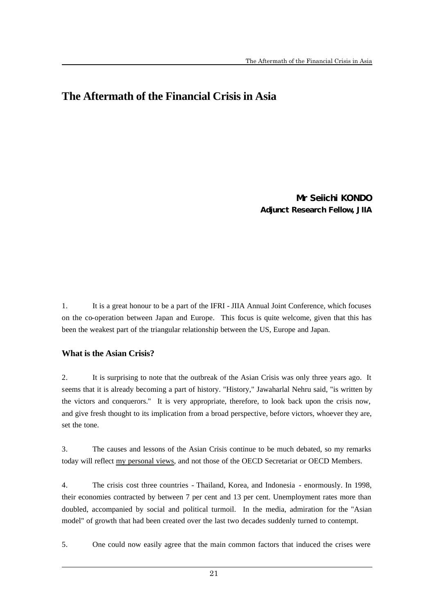# **The Aftermath of the Financial Crisis in Asia**

Mr Seiichi KONDO Adjunct Research Fellow, JIIA

1. It is a great honour to be a part of the IFRI - JIIA Annual Joint Conference, which focuses on the co-operation between Japan and Europe. This focus is quite welcome, given that this has been the weakest part of the triangular relationship between the US, Europe and Japan.

### **What is the Asian Crisis?**

 $\overline{a}$ 

2. It is surprising to note that the outbreak of the Asian Crisis was only three years ago. It seems that it is already becoming a part of history. "History," Jawaharlal Nehru said, "is written by the victors and conquerors." It is very appropriate, therefore, to look back upon the crisis now, and give fresh thought to its implication from a broad perspective, before victors, whoever they are, set the tone.

3. The causes and lessons of the Asian Crisis continue to be much debated, so my remarks today will reflect my personal views, and not those of the OECD Secretariat or OECD Members.

4. The crisis cost three countries - Thailand, Korea, and Indonesia - enormously. In 1998, their economies contracted by between 7 per cent and 13 per cent. Unemployment rates more than doubled, accompanied by social and political turmoil. In the media, admiration for the "Asian model" of growth that had been created over the last two decades suddenly turned to contempt.

5. One could now easily agree that the main common factors that induced the crises were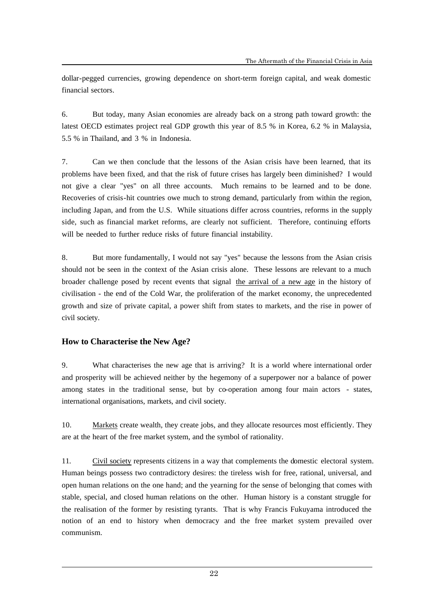dollar-pegged currencies, growing dependence on short-term foreign capital, and weak domestic financial sectors.

6. But today, many Asian economies are already back on a strong path toward growth: the latest OECD estimates project real GDP growth this year of 8.5 % in Korea, 6.2 % in Malaysia, 5.5 % in Thailand, and 3 % in Indonesia.

7. Can we then conclude that the lessons of the Asian crisis have been learned, that its problems have been fixed, and that the risk of future crises has largely been diminished? I would not give a clear "yes" on all three accounts. Much remains to be learned and to be done. Recoveries of crisis-hit countries owe much to strong demand, particularly from within the region, including Japan, and from the U.S. While situations differ across countries, reforms in the supply side, such as financial market reforms, are clearly not sufficient. Therefore, continuing efforts will be needed to further reduce risks of future financial instability.

8. But more fundamentally, I would not say "yes" because the lessons from the Asian crisis should not be seen in the context of the Asian crisis alone. These lessons are relevant to a much broader challenge posed by recent events that signal the arrival of a new age in the history of civilisation - the end of the Cold War, the proliferation of the market economy, the unprecedented growth and size of private capital, a power shift from states to markets, and the rise in power of civil society.

### **How to Characterise the New Age?**

 $\overline{a}$ 

9. What characterises the new age that is arriving? It is a world where international order and prosperity will be achieved neither by the hegemony of a superpower nor a balance of power among states in the traditional sense, but by co-operation among four main actors - states, international organisations, markets, and civil society.

10. Markets create wealth, they create jobs, and they allocate resources most efficiently. They are at the heart of the free market system, and the symbol of rationality.

11. Civil society represents citizens in a way that complements the domestic electoral system. Human beings possess two contradictory desires: the tireless wish for free, rational, universal, and open human relations on the one hand; and the yearning for the sense of belonging that comes with stable, special, and closed human relations on the other. Human history is a constant struggle for the realisation of the former by resisting tyrants. That is why Francis Fukuyama introduced the notion of an end to history when democracy and the free market system prevailed over communism.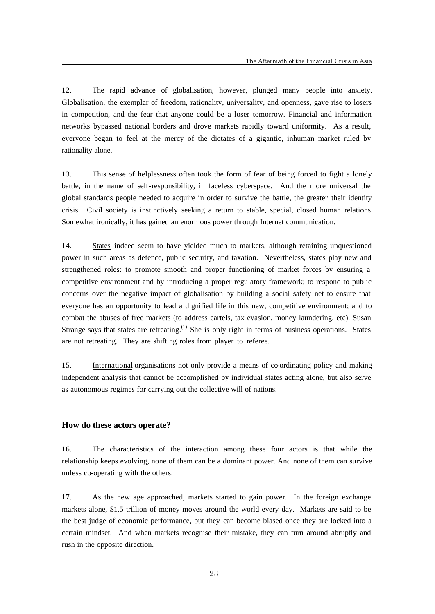12. The rapid advance of globalisation, however, plunged many people into anxiety. Globalisation, the exemplar of freedom, rationality, universality, and openness, gave rise to losers in competition, and the fear that anyone could be a loser tomorrow. Financial and information networks bypassed national borders and drove markets rapidly toward uniformity. As a result, everyone began to feel at the mercy of the dictates of a gigantic, inhuman market ruled by rationality alone.

13. This sense of helplessness often took the form of fear of being forced to fight a lonely battle, in the name of self-responsibility, in faceless cyberspace. And the more universal the global standards people needed to acquire in order to survive the battle, the greater their identity crisis. Civil society is instinctively seeking a return to stable, special, closed human relations. Somewhat ironically, it has gained an enormous power through Internet communication.

14. States indeed seem to have yielded much to markets, although retaining unquestioned power in such areas as defence, public security, and taxation. Nevertheless, states play new and strengthened roles: to promote smooth and proper functioning of market forces by ensuring a competitive environment and by introducing a proper regulatory framework; to respond to public concerns over the negative impact of globalisation by building a social safety net to ensure that everyone has an opportunity to lead a dignified life in this new, competitive environment; and to combat the abuses of free markets (to address cartels, tax evasion, money laundering, etc). Susan Strange says that states are retreating.<sup>(1)</sup> She is only right in terms of business operations. States are not retreating. They are shifting roles from player to referee.

15. International organisations not only provide a means of co-ordinating policy and making independent analysis that cannot be accomplished by individual states acting alone, but also serve as autonomous regimes for carrying out the collective will of nations.

### **How do these actors operate?**

 $\overline{a}$ 

16. The characteristics of the interaction among these four actors is that while the relationship keeps evolving, none of them can be a dominant power. And none of them can survive unless co-operating with the others.

17. As the new age approached, markets started to gain power. In the foreign exchange markets alone, \$1.5 trillion of money moves around the world every day. Markets are said to be the best judge of economic performance, but they can become biased once they are locked into a certain mindset. And when markets recognise their mistake, they can turn around abruptly and rush in the opposite direction.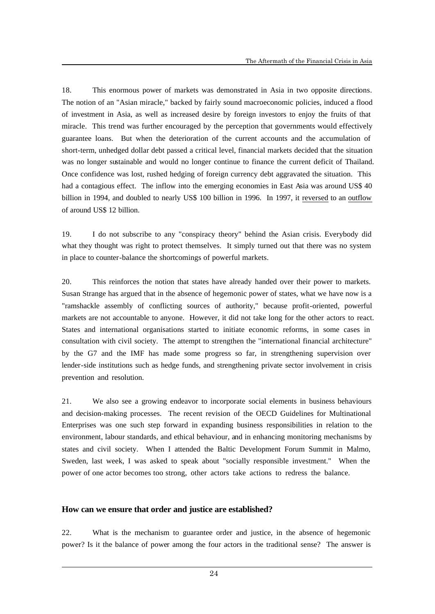18. This enormous power of markets was demonstrated in Asia in two opposite directions. The notion of an "Asian miracle," backed by fairly sound macroeconomic policies, induced a flood of investment in Asia, as well as increased desire by foreign investors to enjoy the fruits of that miracle. This trend was further encouraged by the perception that governments would effectively guarantee loans. But when the deterioration of the current accounts and the accumulation of short-term, unhedged dollar debt passed a critical level, financial markets decided that the situation was no longer sustainable and would no longer continue to finance the current deficit of Thailand. Once confidence was lost, rushed hedging of foreign currency debt aggravated the situation. This had a contagious effect. The inflow into the emerging economies in East Asia was around US\$ 40 billion in 1994, and doubled to nearly US\$ 100 billion in 1996. In 1997, it reversed to an outflow of around US\$ 12 billion.

19. I do not subscribe to any "conspiracy theory" behind the Asian crisis. Everybody did what they thought was right to protect themselves. It simply turned out that there was no system in place to counter-balance the shortcomings of powerful markets.

20. This reinforces the notion that states have already handed over their power to markets. Susan Strange has argued that in the absence of hegemonic power of states, what we have now is a "ramshackle assembly of conflicting sources of authority," because profit-oriented, powerful markets are not accountable to anyone. However, it did not take long for the other actors to react. States and international organisations started to initiate economic reforms, in some cases in consultation with civil society. The attempt to strengthen the "international financial architecture" by the G7 and the IMF has made some progress so far, in strengthening supervision over lender-side institutions such as hedge funds, and strengthening private sector involvement in crisis prevention and resolution.

21. We also see a growing endeavor to incorporate social elements in business behaviours and decision-making processes. The recent revision of the OECD Guidelines for Multinational Enterprises was one such step forward in expanding business responsibilities in relation to the environment, labour standards, and ethical behaviour, and in enhancing monitoring mechanisms by states and civil society. When I attended the Baltic Development Forum Summit in Malmo, Sweden, last week, I was asked to speak about "socially responsible investment." When the power of one actor becomes too strong, other actors take actions to redress the balance.

### **How can we ensure that order and justice are established?**

 $\overline{a}$ 

22. What is the mechanism to guarantee order and justice, in the absence of hegemonic power? Is it the balance of power among the four actors in the traditional sense? The answer is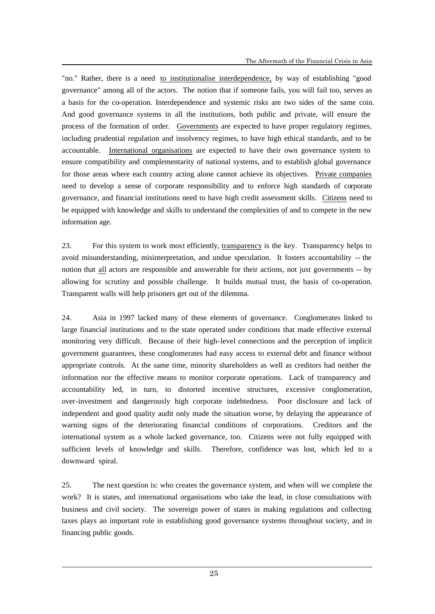"no." Rather, there is a need to institutionalise interdependence, by way of establishing "good governance" among all of the actors. The notion that if someone fails, you will fail too, serves as a basis for the co-operation. Interdependence and systemic risks are two sides of the same coin. And good governance systems in all the institutions, both public and private, will ensure the process of the formation of order. Governments are expected to have proper regulatory regimes, including prudential regulation and insolvency regimes, to have high ethical standards, and to be accountable. International organisations are expected to have their own governance system to ensure compatibility and complementarity of national systems, and to establish global governance for those areas where each country acting alone cannot achieve its objectives. Private companies need to develop a sense of corporate responsibility and to enforce high standards of corporate governance, and financial institutions need to have high credit assessment skills. Citizens need to be equipped with knowledge and skills to understand the complexities of and to compete in the new information age.

23. For this system to work most efficiently, transparency is the key. Transparency helps to avoid misunderstanding, misinterpretation, and undue speculation. It fosters accountability -- the notion that all actors are responsible and answerable for their actions, not just governments -- by allowing for scrutiny and possible challenge. It builds mutual trust, the basis of co-operation. Transparent walls will help prisoners get out of the dilemma.

24. Asia in 1997 lacked many of these elements of governance. Conglomerates linked to large financial institutions and to the state operated under conditions that made effective external monitoring very difficult. Because of their high-level connections and the perception of implicit government guarantees, these conglomerates had easy access to external debt and finance without appropriate controls. At the same time, minority shareholders as well as creditors had neither the information nor the effective means to monitor corporate operations. Lack of transparency and accountability led, in turn, to distorted incentive structures, excessive conglomeration, over-investment and dangerously high corporate indebtedness. Poor disclosure and lack of independent and good quality audit only made the situation worse, by delaying the appearance of warning signs of the deteriorating financial conditions of corporations. Creditors and the international system as a whole lacked governance, too. Citizens were not fully equipped with sufficient levels of knowledge and skills. Therefore, confidence was lost, which led to a downward spiral.

25. The next question is: who creates the governance system, and when will we complete the work? It is states, and international organisations who take the lead, in close consultations with business and civil society. The sovereign power of states in making regulations and collecting taxes plays an important role in establishing good governance systems throughout society, and in financing public goods.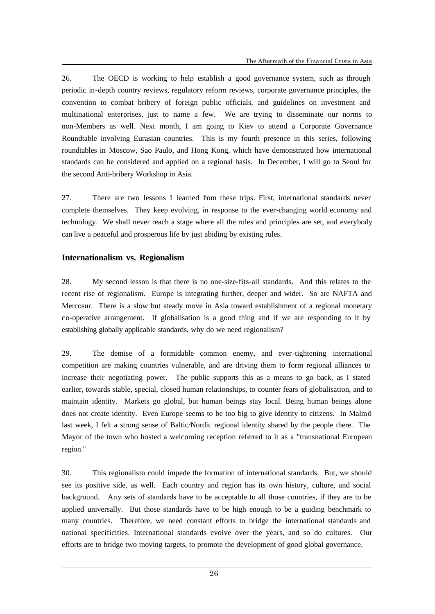26. The OECD is working to help establish a good governance system, such as through periodic in-depth country reviews, regulatory reform reviews, corporate governance principles, the convention to combat bribery of foreign public officials, and guidelines on investment and multinational enterprises, just to name a few. We are trying to disseminate our norms to non-Members as well. Next month, I am going to Kiev to attend a Corporate Governance Roundtable involving Eurasian countries. This is my fourth presence in this series, following roundtables in Moscow, Sao Paulo, and Hong Kong, which have demonstrated how international standards can be considered and applied on a regional basis. In December, I will go to Seoul for the second Anti-bribery Workshop in Asia.

27. There are two lessons I learned from these trips. First, international standards never complete themselves. They keep evolving, in response to the ever-changing world economy and technology. We shall never reach a stage where all the rules and principles are set, and everybody can live a peaceful and prosperous life by just abiding by existing rules.

### **Internationalism vs. Regionalism**

 $\overline{a}$ 

28. My second lesson is that there is no one-size-fits-all standards. And this relates to the recent rise of regionalism. Europe is integrating further, deeper and wider. So are NAFTA and Mercosur. There is a slow but steady move in Asia toward establishment of a regional monetary co-operative arrangement. If globalisation is a good thing and if we are responding to it by establishing globally applicable standards, why do we need regionalism?

29. The demise of a formidable common enemy, and ever-tightening international competition are making countries vulnerable, and are driving them to form regional alliances to increase their negotiating power. The public supports this as a means to go back, as I stated earlier, towards stable, special, closed human relationships, to counter fears of globalisation, and to maintain identity. Markets go global, but human beings stay local. Being human beings alone does not create identity. Even Europe seems to be too big to give identity to citizens. In Malmö last week, I felt a strong sense of Baltic/Nordic regional identity shared by the people there. The Mayor of the town who hosted a welcoming reception referred to it as a "transnational European region."

30. This regionalism could impede the formation of international standards. But, we should see its positive side, as well. Each country and region has its own history, culture, and social background. Any sets of standards have to be acceptable to all those countries, if they are to be applied universally. But those standards have to be high enough to be a guiding benchmark to many countries. Therefore, we need constant efforts to bridge the international standards and national specificities. International standards evolve over the years, and so do cultures. Our efforts are to bridge two moving targets, to promote the development of good global governance.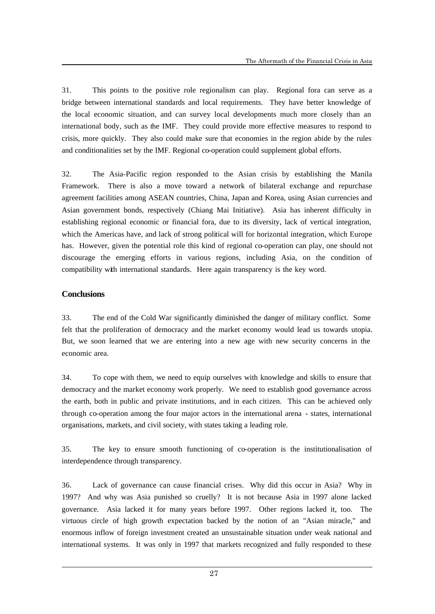31. This points to the positive role regionalism can play. Regional fora can serve as a bridge between international standards and local requirements. They have better knowledge of the local economic situation, and can survey local developments much more closely than an international body, such as the IMF. They could provide more effective measures to respond to crisis, more quickly. They also could make sure that economies in the region abide by the rules and conditionalities set by the IMF. Regional co-operation could supplement global efforts.

32. The Asia-Pacific region responded to the Asian crisis by establishing the Manila Framework. There is also a move toward a network of bilateral exchange and repurchase agreement facilities among ASEAN countries, China, Japan and Korea, using Asian currencies and Asian government bonds, respectively (Chiang Mai Initiative). Asia has inherent difficulty in establishing regional economic or financial fora, due to its diversity, lack of vertical integration, which the Americas have, and lack of strong political will for horizontal integration, which Europe has. However, given the potential role this kind of regional co-operation can play, one should not discourage the emerging efforts in various regions, including Asia, on the condition of compatibility with international standards. Here again transparency is the key word.

### **Conclusions**

 $\overline{a}$ 

33. The end of the Cold War significantly diminished the danger of military conflict. Some felt that the proliferation of democracy and the market economy would lead us towards utopia. But, we soon learned that we are entering into a new age with new security concerns in the economic area.

34. To cope with them, we need to equip ourselves with knowledge and skills to ensure that democracy and the market economy work properly. We need to establish good governance across the earth, both in public and private institutions, and in each citizen. This can be achieved only through co-operation among the four major actors in the international arena - states, international organisations, markets, and civil society, with states taking a leading role.

35. The key to ensure smooth functioning of co-operation is the institutionalisation of interdependence through transparency.

36. Lack of governance can cause financial crises. Why did this occur in Asia? Why in 1997? And why was Asia punished so cruelly? It is not because Asia in 1997 alone lacked governance. Asia lacked it for many years before 1997. Other regions lacked it, too. The virtuous circle of high growth expectation backed by the notion of an "Asian miracle," and enormous inflow of foreign investment created an unsustainable situation under weak national and international systems. It was only in 1997 that markets recognized and fully responded to these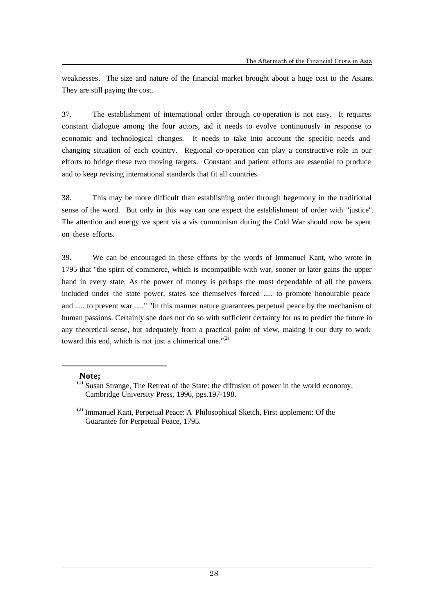weaknesses. The size and nature of the financial market brought about a huge cost to the Asians. They are still paying the cost.

37. The establishment of international order through co-operation is not easy. It requires constant dialogue among the four actors, and it needs to evolve continuously in response to economic and technological changes. It needs to take into account the specific needs and changing situation of each country. Regional co-operation can play a constructive role in our efforts to bridge these two moving targets. Constant and patient efforts are essential to produce and to keep revising international standards that fit all countries.

38. This may be more difficult than establishing order through hegemony in the traditional sense of the word. But only in this way can one expect the establishment of order with "justice". The attention and energy we spent vis a vis communism during the Cold War should now be spent on these efforts.

39. We can be encouraged in these efforts by the words of Immanuel Kant, who wrote in 1795 that "the spirit of commerce, which is incompatible with war, sooner or later gains the upper hand in every state. As the power of money is perhaps the most dependable of all the powers included under the state power, states see themselves forced ..... to promote honourable peace and ..... to prevent war ....." "In this manner nature guarantees perpetual peace by the mechanism of human passions. Certainly she does not do so with sufficient certainty for us to predict the future in any theoretical sense, but adequately from a practical point of view, making it our duty to work toward this end, which is not just a chimerical one." $(2)$ 

### **Note;**

 $\overline{a}$ 

<sup>(1)</sup> Susan Strange, The Retreat of the State: the diffusion of power in the world economy, Cambridge University Press, 1996, pgs.197-198.

 $(2)$  Immanuel Kant, Perpetual Peace: A Philosophical Sketch, First upplement: Of the Guarantee for Perpetual Peace, 1795.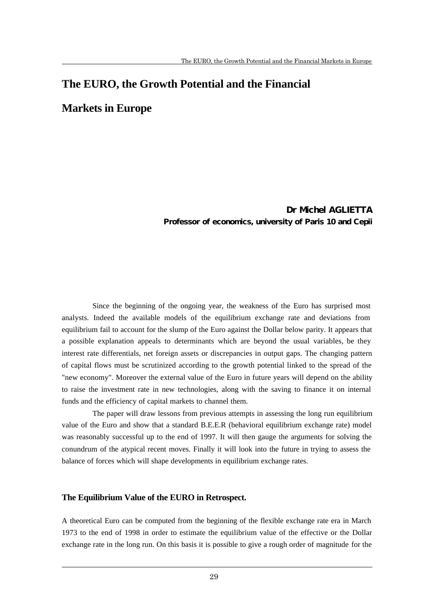# **The EURO, the Growth Potential and the Financial**

# **Markets in Europe**

Dr Michel AGLIETTA Professor of economics, university of Paris 10 and Cepii

Since the beginning of the ongoing year, the weakness of the Euro has surprised most analysts. Indeed the available models of the equilibrium exchange rate and deviations from equilibrium fail to account for the slump of the Euro against the Dollar below parity. It appears that a possible explanation appeals to determinants which are beyond the usual variables, be they interest rate differentials, net foreign assets or discrepancies in output gaps. The changing pattern of capital flows must be scrutinized according to the growth potential linked to the spread of the "new economy". Moreover the external value of the Euro in future years will depend on the ability to raise the investment rate in new technologies, along with the saving to finance it on internal funds and the efficiency of capital markets to channel them.

The paper will draw lessons from previous attempts in assessing the long run equilibrium value of the Euro and show that a standard B.E.E.R (behavioral equilibrium exchange rate) model was reasonably successful up to the end of 1997. It will then gauge the arguments for solving the conundrum of the atypical recent moves. Finally it will look into the future in trying to assess the balance of forces which will shape developments in equilibrium exchange rates.

### **The Equilibrium Value of the EURO in Retrospect.**

 $\overline{a}$ 

A theoretical Euro can be computed from the beginning of the flexible exchange rate era in March 1973 to the end of 1998 in order to estimate the equilibrium value of the effective or the Dollar exchange rate in the long run. On this basis it is possible to give a rough order of magnitude for the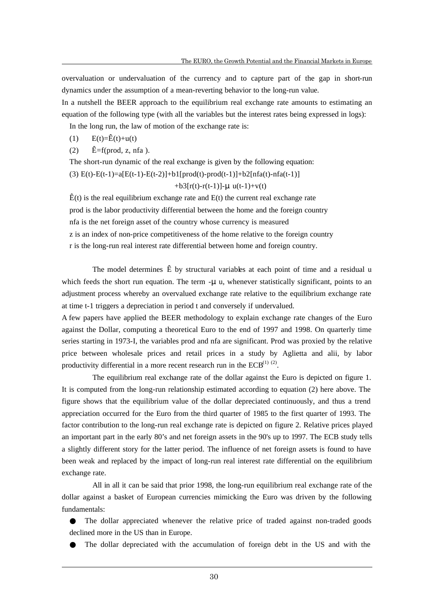overvaluation or undervaluation of the currency and to capture part of the gap in short-run dynamics under the assumption of a mean-reverting behavior to the long-run value.

In a nutshell the BEER approach to the equilibrium real exchange rate amounts to estimating an equation of the following type (with all the variables but the interest rates being expressed in logs):

In the long run, the law of motion of the exchange rate is:

$$
(1) \qquad E(t)=\hat{E}(t)+u(t)
$$

 $\overline{a}$ 

 $\hat{E} = f(\text{prod}, z, \text{ nfa}).$ 

The short-run dynamic of the real exchange is given by the following equation:

(3)  $E(t) - E(t-1) = a[E(t-1) - E(t-2)] + b1[prod(t) - prod(t-1)] + b2[inf(a(t) - nfa(t-1))]$ 

 $+b3[r(t)-r(t-1)]-\mu$ u(t-1)+v(t)

 $\hat{E}(t)$  is the real equilibrium exchange rate and  $E(t)$  the current real exchange rate prod is the labor productivity differential between the home and the foreign country nfa is the net foreign asset of the country whose currency is measured z is an index of non-price competitiveness of the home relative to the foreign country r is the long-run real interest rate differential between home and foreign country.

The model determines  $\hat{E}$  by structural variables at each point of time and a residual u which feeds the short run equation. The term  $-\mu$  u, whenever statistically significant, points to an adjustment process whereby an overvalued exchange rate relative to the equilibrium exchange rate at time t-1 triggers a depreciation in period t and conversely if undervalued.

A few papers have applied the BEER methodology to explain exchange rate changes of the Euro against the Dollar, computing a theoretical Euro to the end of 1997 and 1998. On quarterly time series starting in 1973-I, the variables prod and nfa are significant. Prod was proxied by the relative price between wholesale prices and retail prices in a study by Aglietta and alii, by labor productivity differential in a more recent research run in the  $ECB^{(1)(2)}$ .

The equilibrium real exchange rate of the dollar against the Euro is depicted on figure 1. It is computed from the long-run relationship estimated according to equation (2) here above. The figure shows that the equilibrium value of the dollar depreciated continuously, and thus a trend appreciation occurred for the Euro from the third quarter of 1985 to the first quarter of 1993. The factor contribution to the long-run real exchange rate is depicted on figure 2. Relative prices played an important part in the early 80's and net foreign assets in the 90's up to 1997. The ECB study tells a slightly different story for the latter period. The influence of net foreign assets is found to have been weak and replaced by the impact of long-run real interest rate differential on the equilibrium exchange rate.

All in all it can be said that prior 1998, the long-run equilibrium real exchange rate of the dollar against a basket of European currencies mimicking the Euro was driven by the following fundamentals:

The dollar appreciated whenever the relative price of traded against non-traded goods declined more in the US than in Europe.

The dollar depreciated with the accumulation of foreign debt in the US and with the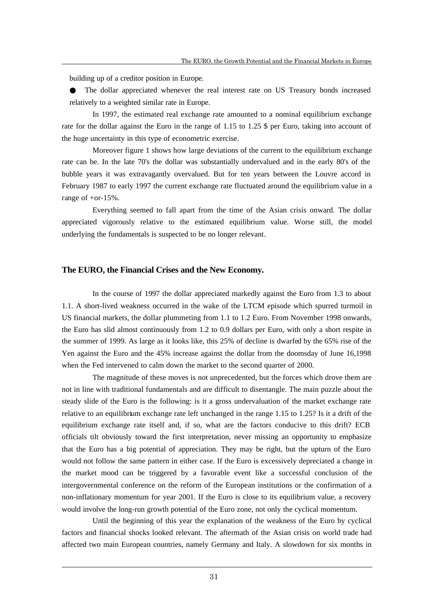building up of a creditor position in Europe.

The dollar appreciated whenever the real interest rate on US Treasury bonds increased relatively to a weighted similar rate in Europe.

In 1997, the estimated real exchange rate amounted to a nominal equilibrium exchange rate for the dollar against the Euro in the range of 1.15 to 1.25 \$ per Euro, taking into account of the huge uncertainty in this type of econometric exercise.

Moreover figure 1 shows how large deviations of the current to the equilibrium exchange rate can be. In the late 70's the dollar was substantially undervalued and in the early 80's of the bubble years it was extravagantly overvalued. But for ten years between the Louvre accord in February 1987 to early 1997 the current exchange rate fluctuated around the equilibrium value in a range of +or-15%.

Everything seemed to fall apart from the time of the Asian crisis onward. The dollar appreciated vigorously relative to the estimated equilibrium value. Worse still, the model underlying the fundamentals is suspected to be no longer relevant.

### **The EURO, the Financial Crises and the New Economy.**

In the course of 1997 the dollar appreciated markedly against the Euro from 1.3 to about 1.1. A short-lived weakness occurred in the wake of the LTCM episode which spurred turmoil in US financial markets, the dollar plummeting from 1.1 to 1.2 Euro. From November 1998 onwards, the Euro has slid almost continuously from 1.2 to 0.9 dollars per Euro, with only a short respite in the summer of 1999. As large as it looks like, this 25% of decline is dwarfed by the 65% rise of the Yen against the Euro and the 45% increase against the dollar from the doomsday of June 16,1998 when the Fed intervened to calm down the market to the second quarter of 2000.

The magnitude of these moves is not unprecedented, but the forces which drove them are not in line with traditional fundamentals and are difficult to disentangle. The main puzzle about the steady slide of the Euro is the following: is it a gross undervaluation of the market exchange rate relative to an equilibrium exchange rate left unchanged in the range 1.15 to 1.25? Is it a drift of the equilibrium exchange rate itself and, if so, what are the factors conducive to this drift? ECB officials tilt obviously toward the first interpretation, never missing an opportunity to emphasize that the Euro has a big potential of appreciation. They may be right, but the upturn of the Euro would not follow the same pattern in either case. If the Euro is excessively depreciated a change in the market mood can be triggered by a favorable event like a successful conclusion of the intergovernmental conference on the reform of the European institutions or the confirmation of a non-inflationary momentum for year 2001. If the Euro is close to its equilibrium value, a recovery would involve the long-run growth potential of the Euro zone, not only the cyclical momentum.

Until the beginning of this year the explanation of the weakness of the Euro by cyclical factors and financial shocks looked relevant. The aftermath of the Asian crisis on world trade had affected two main European countries, namely Germany and Italy. A slowdown for six months in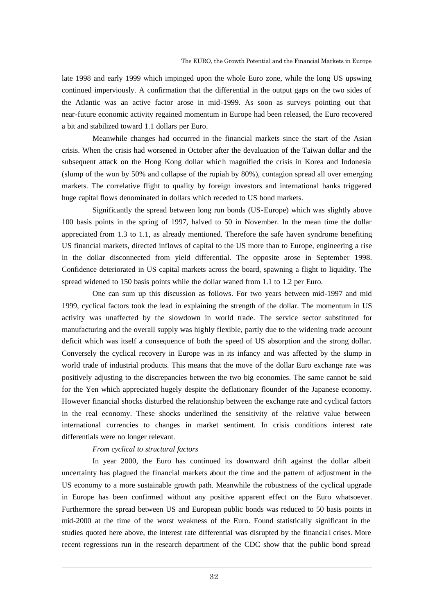late 1998 and early 1999 which impinged upon the whole Euro zone, while the long US upswing continued imperviously. A confirmation that the differential in the output gaps on the two sides of the Atlantic was an active factor arose in mid-1999. As soon as surveys pointing out that near-future economic activity regained momentum in Europe had been released, the Euro recovered a bit and stabilized toward 1.1 dollars per Euro.

Meanwhile changes had occurred in the financial markets since the start of the Asian crisis. When the crisis had worsened in October after the devaluation of the Taiwan dollar and the subsequent attack on the Hong Kong dollar whic h magnified the crisis in Korea and Indonesia (slump of the won by 50% and collapse of the rupiah by 80%), contagion spread all over emerging markets. The correlative flight to quality by foreign investors and international banks triggered huge capital flows denominated in dollars which receded to US bond markets.

Significantly the spread between long run bonds (US-Europe) which was slightly above 100 basis points in the spring of 1997, halved to 50 in November. In the mean time the dollar appreciated from 1.3 to 1.1, as already mentioned. Therefore the safe haven syndrome benefiting US financial markets, directed inflows of capital to the US more than to Europe, engineering a rise in the dollar disconnected from yield differential. The opposite arose in September 1998. Confidence deteriorated in US capital markets across the board, spawning a flight to liquidity. The spread widened to 150 basis points while the dollar waned from 1.1 to 1.2 per Euro.

One can sum up this discussion as follows. For two years between mid-1997 and mid 1999, cyclical factors took the lead in explaining the strength of the dollar. The momentum in US activity was unaffected by the slowdown in world trade. The service sector substituted for manufacturing and the overall supply was highly flexible, partly due to the widening trade account deficit which was itself a consequence of both the speed of US absorption and the strong dollar. Conversely the cyclical recovery in Europe was in its infancy and was affected by the slump in world trade of industrial products. This means that the move of the dollar Euro exchange rate was positively adjusting to the discrepancies between the two big economies. The same cannot be said for the Yen which appreciated hugely despite the deflationary flounder of the Japanese economy. However financial shocks disturbed the relationship between the exchange rate and cyclical factors in the real economy. These shocks underlined the sensitivity of the relative value between international currencies to changes in market sentiment. In crisis conditions interest rate differentials were no longer relevant.

#### *From cyclical to structural factors*

 $\overline{a}$ 

In year 2000, the Euro has continued its downward drift against the dollar albeit uncertainty has plagued the financial markets about the time and the pattern of adjustment in the US economy to a more sustainable growth path. Meanwhile the robustness of the cyclical upgrade in Europe has been confirmed without any positive apparent effect on the Euro whatsoever. Furthermore the spread between US and European public bonds was reduced to 50 basis points in mid-2000 at the time of the worst weakness of the Euro. Found statistically significant in the studies quoted here above, the interest rate differential was disrupted by the financia l crises. More recent regressions run in the research department of the CDC show that the public bond spread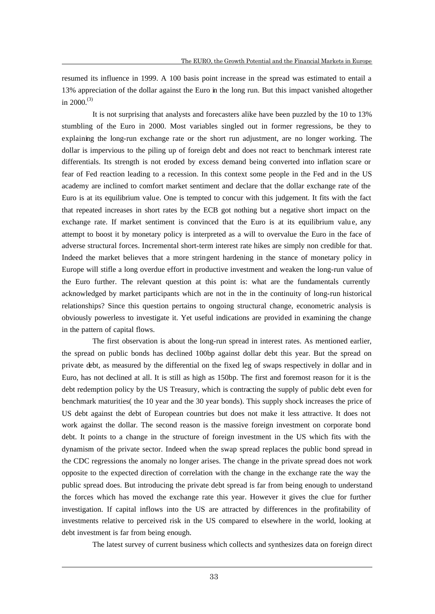resumed its influence in 1999. A 100 basis point increase in the spread was estimated to entail a 13% appreciation of the dollar against the Euro in the long run. But this impact vanished altogether in  $2000^{(3)}$ 

It is not surprising that analysts and forecasters alike have been puzzled by the 10 to 13% stumbling of the Euro in 2000. Most variables singled out in former regressions, be they to explaining the long-run exchange rate or the short run adjustment, are no longer working. The dollar is impervious to the piling up of foreign debt and does not react to benchmark interest rate differentials. Its strength is not eroded by excess demand being converted into inflation scare or fear of Fed reaction leading to a recession. In this context some people in the Fed and in the US academy are inclined to comfort market sentiment and declare that the dollar exchange rate of the Euro is at its equilibrium value. One is tempted to concur with this judgement. It fits with the fact that repeated increases in short rates by the ECB got nothing but a negative short impact on the exchange rate. If market sentiment is convinced that the Euro is at its equilibrium valu e, any attempt to boost it by monetary policy is interpreted as a will to overvalue the Euro in the face of adverse structural forces. Incremental short-term interest rate hikes are simply non credible for that. Indeed the market believes that a more stringent hardening in the stance of monetary policy in Europe will stifle a long overdue effort in productive investment and weaken the long-run value of the Euro further. The relevant question at this point is: what are the fundamentals currently acknowledged by market participants which are not in the in the continuity of long-run historical relationships? Since this question pertains to ongoing structural change, econometric analysis is obviously powerless to investigate it. Yet useful indications are provided in examining the change in the pattern of capital flows.

The first observation is about the long-run spread in interest rates. As mentioned earlier, the spread on public bonds has declined 100bp against dollar debt this year. But the spread on private debt, as measured by the differential on the fixed leg of swaps respectively in dollar and in Euro, has not declined at all. It is still as high as 150bp. The first and foremost reason for it is the debt redemption policy by the US Treasury, which is contracting the supply of public debt even for benchmark maturities( the 10 year and the 30 year bonds). This supply shock increases the price of US debt against the debt of European countries but does not make it less attractive. It does not work against the dollar. The second reason is the massive foreign investment on corporate bond debt. It points to a change in the structure of foreign investment in the US which fits with the dynamism of the private sector. Indeed when the swap spread replaces the public bond spread in the CDC regressions the anomaly no longer arises. The change in the private spread does not work opposite to the expected direction of correlation with the change in the exchange rate the way the public spread does. But introducing the private debt spread is far from being enough to understand the forces which has moved the exchange rate this year. However it gives the clue for further investigation. If capital inflows into the US are attracted by differences in the profitability of investments relative to perceived risk in the US compared to elsewhere in the world, looking at debt investment is far from being enough.

The latest survey of current business which collects and synthesizes data on foreign direct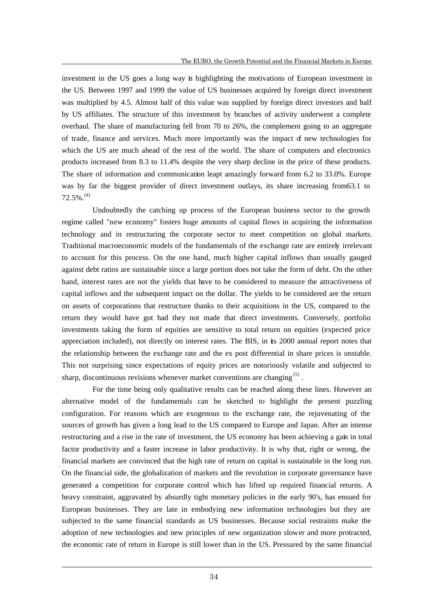investment in the US goes a long way in highlighting the motivations of European investment in the US. Between 1997 and 1999 the value of US businesses acquired by foreign direct investment was multiplied by 4.5. Almost half of this value was supplied by foreign direct investors and half by US affiliates. The structure of this investment by branches of activity underwent a complete overhaul. The share of manufacturing fell from 70 to 26%, the complement going to an aggregate of trade, finance and services. Much more importantly was the impact of new technologies for which the US are much ahead of the rest of the world. The share of computers and electronics products increased from 8.3 to 11.4% despite the very sharp decline in the price of these products. The share of information and communication leapt amazingly forward from 6.2 to 33.0%. Europe was by far the biggest provider of direct investment outlays, its share increasing from63.1 to  $72.5\%$ .<sup>(4)</sup>

Undoubtedly the catching up process of the European business sector to the growth regime called "new economy" fosters huge amounts of capital flows in acquiring the information technology and in restructuring the corporate sector to meet competition on global markets. Traditional macroeconomic models of the fundamentals of the exchange rate are entirely irrelevant to account for this process. On the one hand, much higher capital inflows than usually gauged against debt ratios are sustainable since a large portion does not take the form of debt. On the other hand, interest rates are not the yields that have to be considered to measure the attractiveness of capital inflows and the subsequent impact on the dollar. The yields to be considered are the return on assets of corporations that restructure thanks to their acquisitions in the US, compared to the return they would have got had they not made that direct investments. Conversely, portfolio investments taking the form of equities are sensitive to total return on equities (expected price appreciation included), not directly on interest rates. The BIS, in its 2000 annual report notes that the relationship between the exchange rate and the ex post differential in share prices is unstable. This not surprising since expectations of equity prices are notoriously volatile and subjected to sharp, discontinuous revisions whenever market conventions are changing  $(5)$ .

For the time being only qualitative results can be reached along these lines. However an alternative model of the fundamentals can be sketched to highlight the present puzzling configuration. For reasons which are exogenous to the exchange rate, the rejuvenating of the sources of growth has given a long lead to the US compared to Europe and Japan. After an intense restructuring and a rise in the rate of investment, the US economy has been achieving a gain in total factor productivity and a faster increase in labor productivity. It is why that, right or wrong, the financial markets are convinced that the high rate of return on capital is sustainable in the long run. On the financial side, the globalization of markets and the revolution in corporate governance have generated a competition for corporate control which has lifted up required financial returns. A heavy constraint, aggravated by absurdly tight monetary policies in the early 90's, has ensued for European businesses. They are late in embodying new information technologies but they are subjected to the same financial standards as US businesses. Because social restraints make the adoption of new technologies and new principles of new organization slower and more protracted, the economic rate of return in Europe is still lower than in the US. Pressured by the same financial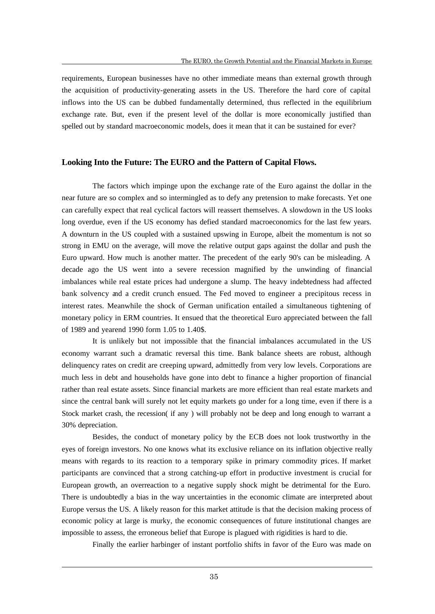requirements, European businesses have no other immediate means than external growth through the acquisition of productivity-generating assets in the US. Therefore the hard core of capital inflows into the US can be dubbed fundamentally determined, thus reflected in the equilibrium exchange rate. But, even if the present level of the dollar is more economically justified than spelled out by standard macroeconomic models, does it mean that it can be sustained for ever?

### **Looking Into the Future: The EURO and the Pattern of Capital Flows.**

The factors which impinge upon the exchange rate of the Euro against the dollar in the near future are so complex and so intermingled as to defy any pretension to make forecasts. Yet one can carefully expect that real cyclical factors will reassert themselves. A slowdown in the US looks long overdue, even if the US economy has defied standard macroeconomics for the last few years. A downturn in the US coupled with a sustained upswing in Europe, albeit the momentum is not so strong in EMU on the average, will move the relative output gaps against the dollar and push the Euro upward. How much is another matter. The precedent of the early 90's can be misleading. A decade ago the US went into a severe recession magnified by the unwinding of financial imbalances while real estate prices had undergone a slump. The heavy indebtedness had affected bank solvency and a credit crunch ensued. The Fed moved to engineer a precipitous recess in interest rates. Meanwhile the shock of German unification entailed a simultaneous tightening of monetary policy in ERM countries. It ensued that the theoretical Euro appreciated between the fall of 1989 and yearend 1990 form 1.05 to 1.40\$.

It is unlikely but not impossible that the financial imbalances accumulated in the US economy warrant such a dramatic reversal this time. Bank balance sheets are robust, although delinquency rates on credit are creeping upward, admittedly from very low levels. Corporations are much less in debt and households have gone into debt to finance a higher proportion of financial rather than real estate assets. Since financial markets are more efficient than real estate markets and since the central bank will surely not let equity markets go under for a long time, even if there is a Stock market crash, the recession( if any ) will probably not be deep and long enough to warrant a 30% depreciation.

Besides, the conduct of monetary policy by the ECB does not look trustworthy in the eyes of foreign investors. No one knows what its exclusive reliance on its inflation objective really means with regards to its reaction to a temporary spike in primary commodity prices. If market participants are convinced that a strong catching-up effort in productive investment is crucial for European growth, an overreaction to a negative supply shock might be detrimental for the Euro. There is undoubtedly a bias in the way uncertainties in the economic climate are interpreted about Europe versus the US. A likely reason for this market attitude is that the decision making process of economic policy at large is murky, the economic consequences of future institutional changes are impossible to assess, the erroneous belief that Europe is plagued with rigidities is hard to die.

Finally the earlier harbinger of instant portfolio shifts in favor of the Euro was made on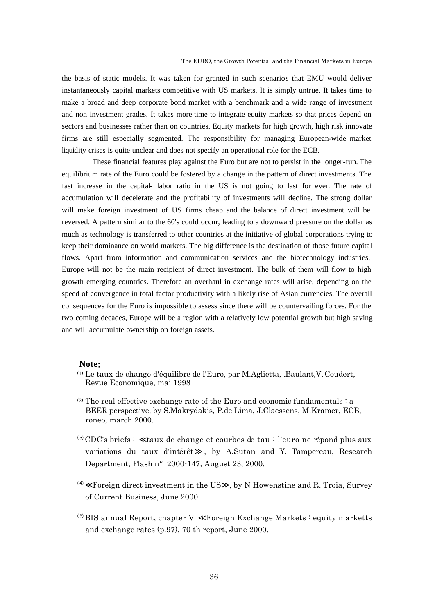the basis of static models. It was taken for granted in such scenarios that EMU would deliver instantaneously capital markets competitive with US markets. It is simply untrue. It takes time to make a broad and deep corporate bond market with a benchmark and a wide range of investment and non investment grades. It takes more time to integrate equity markets so that prices depend on sectors and businesses rather than on countries. Equity markets for high growth, high risk innovate firms are still especially segmented. The responsibility for managing European-wide market liquidity crises is quite unclear and does not specify an operational role for the ECB.

These financial features play against the Euro but are not to persist in the longer-run. The equilibrium rate of the Euro could be fostered by a change in the pattern of direct investments. The fast increase in the capital- labor ratio in the US is not going to last for ever. The rate of accumulation will decelerate and the profitability of investments will decline. The strong dollar will make foreign investment of US firms cheap and the balance of direct investment will be reversed. A pattern similar to the 60's could occur, leading to a downward pressure on the dollar as much as technology is transferred to other countries at the initiative of global corporations trying to keep their dominance on world markets. The big difference is the destination of those future capital flows. Apart from information and communication services and the biotechnology industries, Europe will not be the main recipient of direct investment. The bulk of them will flow to high growth emerging countries. Therefore an overhaul in exchange rates will arise, depending on the speed of convergence in total factor productivity with a likely rise of Asian currencies. The overall consequences for the Euro is impossible to assess since there will be countervailing forces. For the two coming decades, Europe will be a region with a relatively low potential growth but high saving and will accumulate ownership on foreign assets.

### **Note;**

 $\overline{a}$ 

- $^{(3)}$ CDC's briefs : taux de change et courbes de tau : l'euro ne répond plus aux variations du taux d'intérêt , by A.Sutan and Y. Tampereau, Research Department, Flash n°2000-147, August 23, 2000.
- (4) Foreign direct investment in the US , by N Howenstine and R. Troia, Survey of Current Business, June 2000.
- $^{(5)}$ BIS annual Report, chapter V Foreign Exchange Markets : equity marketts and exchange rates (p.97), 70 th report, June 2000.

<sup>(1)</sup> Le taux de change d'équilibre de l'Euro, par M.Aglietta, .Baulant,V.Coudert, Revue Economique, mai 1998

<sup>(2)</sup> The real effective exchange rate of the Euro and economic fundamentals : a BEER perspective, by S.Makrydakis, P.de Lima, J.Claessens, M.Kramer, ECB, roneo, march 2000.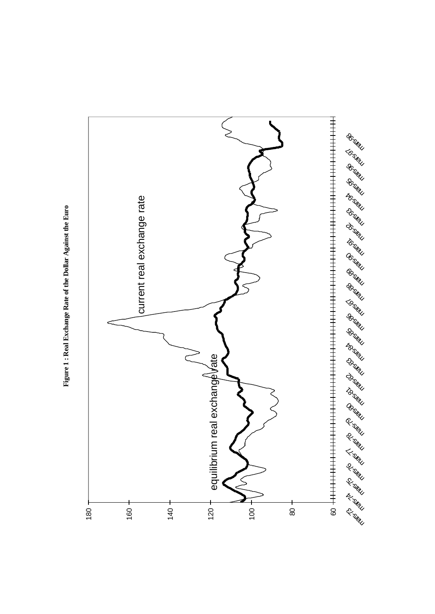

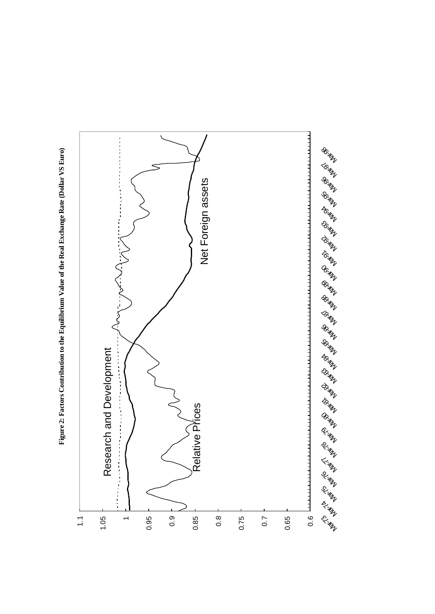

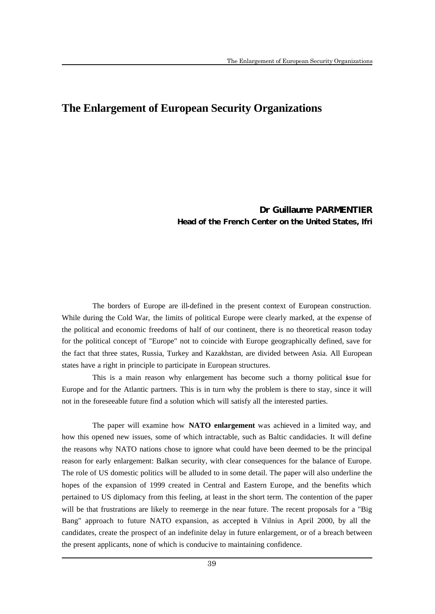### **The Enlargement of European Security Organizations**

### Dr Guillaume PARMENTIER Head of the French Center on the United States, Ifri

The borders of Europe are ill-defined in the present context of European construction. While during the Cold War, the limits of political Europe were clearly marked, at the expense of the political and economic freedoms of half of our continent, there is no theoretical reason today for the political concept of "Europe" not to coincide with Europe geographically defined, save for the fact that three states, Russia, Turkey and Kazakhstan, are divided between Asia. All European states have a right in principle to participate in European structures.

This is a main reason why enlargement has become such a thorny political issue for Europe and for the Atlantic partners. This is in turn why the problem is there to stay, since it will not in the foreseeable future find a solution which will satisfy all the interested parties.

The paper will examine how **NATO enlargement** was achieved in a limited way, and how this opened new issues, some of which intractable, such as Baltic candidacies. It will define the reasons why NATO nations chose to ignore what could have been deemed to be the principal reason for early enlargement: Balkan security, with clear consequences for the balance of Europe. The role of US domestic politics will be alluded to in some detail. The paper will also underline the hopes of the expansion of 1999 created in Central and Eastern Europe, and the benefits which pertained to US diplomacy from this feeling, at least in the short term. The contention of the paper will be that frustrations are likely to reemerge in the near future. The recent proposals for a "Big Bang" approach to future NATO expansion, as accepted in Vilnius in April 2000, by all the candidates, create the prospect of an indefinite delay in future enlargement, or of a breach between the present applicants, none of which is conducive to maintaining confidence.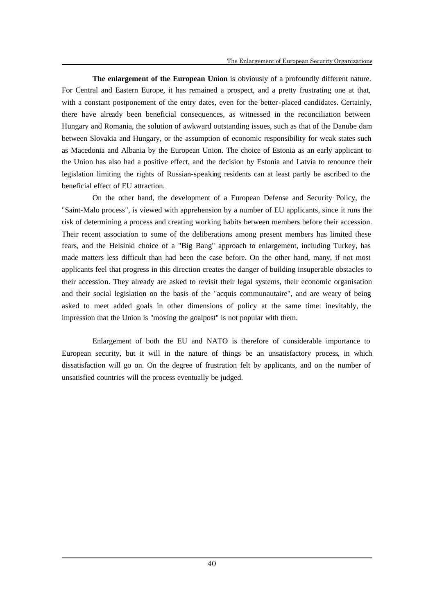**The enlargement of the European Union** is obviously of a profoundly different nature. For Central and Eastern Europe, it has remained a prospect, and a pretty frustrating one at that, with a constant postponement of the entry dates, even for the better-placed candidates. Certainly, there have already been beneficial consequences, as witnessed in the reconciliation between Hungary and Romania, the solution of awkward outstanding issues, such as that of the Danube dam between Slovakia and Hungary, or the assumption of economic responsibility for weak states such as Macedonia and Albania by the European Union. The choice of Estonia as an early applicant to the Union has also had a positive effect, and the decision by Estonia and Latvia to renounce their legislation limiting the rights of Russian-speaking residents can at least partly be ascribed to the beneficial effect of EU attraction.

On the other hand, the development of a European Defense and Security Policy, the "Saint-Malo process", is viewed with apprehension by a number of EU applicants, since it runs the risk of determining a process and creating working habits between members before their accession. Their recent association to some of the deliberations among present members has limited these fears, and the Helsinki choice of a "Big Bang" approach to enlargement, including Turkey, has made matters less difficult than had been the case before. On the other hand, many, if not most applicants feel that progress in this direction creates the danger of building insuperable obstacles to their accession. They already are asked to revisit their legal systems, their economic organisation and their social legislation on the basis of the "acquis communautaire", and are weary of being asked to meet added goals in other dimensions of policy at the same time: inevitably, the impression that the Union is "moving the goalpost" is not popular with them.

Enlargement of both the EU and NATO is therefore of considerable importance to European security, but it will in the nature of things be an unsatisfactory process, in which dissatisfaction will go on. On the degree of frustration felt by applicants, and on the number of unsatisfied countries will the process eventually be judged.

40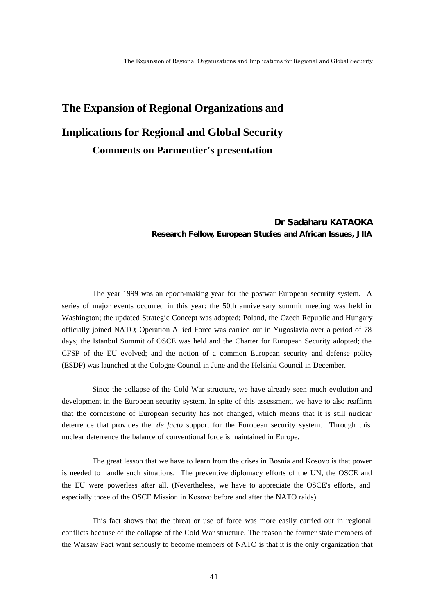# **The Expansion of Regional Organizations and Implications for Regional and Global Security Comments on Parmentier's presentation**

### Dr Sadaharu KATAOKA Research Fellow, European Studies and African Issues, JIIA

The year 1999 was an epoch-making year for the postwar European security system. A series of major events occurred in this year: the 50th anniversary summit meeting was held in Washington; the updated Strategic Concept was adopted; Poland, the Czech Republic and Hungary officially joined NATO; Operation Allied Force was carried out in Yugoslavia over a period of 78 days; the Istanbul Summit of OSCE was held and the Charter for European Security adopted; the CFSP of the EU evolved; and the notion of a common European security and defense policy (ESDP) was launched at the Cologne Council in June and the Helsinki Council in December.

Since the collapse of the Cold War structure, we have already seen much evolution and development in the European security system. In spite of this assessment, we have to also reaffirm that the cornerstone of European security has not changed, which means that it is still nuclear deterrence that provides the *de facto* support for the European security system. Through this nuclear deterrence the balance of conventional force is maintained in Europe.

The great lesson that we have to learn from the crises in Bosnia and Kosovo is that power is needed to handle such situations. The preventive diplomacy efforts of the UN, the OSCE and the EU were powerless after all. (Nevertheless, we have to appreciate the OSCE's efforts, and especially those of the OSCE Mission in Kosovo before and after the NATO raids).

This fact shows that the threat or use of force was more easily carried out in regional conflicts because of the collapse of the Cold War structure. The reason the former state members of the Warsaw Pact want seriously to become members of NATO is that it is the only organization that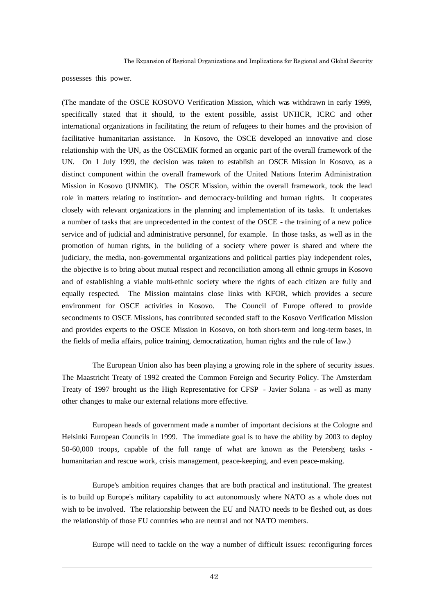possesses this power.

 $\overline{a}$ 

(The mandate of the OSCE KOSOVO Verification Mission, which was withdrawn in early 1999, specifically stated that it should, to the extent possible, assist UNHCR, ICRC and other international organizations in facilitating the return of refugees to their homes and the provision of facilitative humanitarian assistance. In Kosovo, the OSCE developed an innovative and close relationship with the UN, as the OSCEMIK formed an organic part of the overall framework of the UN. On 1 July 1999, the decision was taken to establish an OSCE Mission in Kosovo, as a distinct component within the overall framework of the United Nations Interim Administration Mission in Kosovo (UNMIK). The OSCE Mission, within the overall framework, took the lead role in matters relating to institution- and democracy-building and human rights. It cooperates closely with relevant organizations in the planning and implementation of its tasks. It undertakes a number of tasks that are unprecedented in the context of the OSCE - the training of a new police service and of judicial and administrative personnel, for example. In those tasks, as well as in the promotion of human rights, in the building of a society where power is shared and where the judiciary, the media, non-governmental organizations and political parties play independent roles, the objective is to bring about mutual respect and reconciliation among all ethnic groups in Kosovo and of establishing a viable multi-ethnic society where the rights of each citizen are fully and equally respected. The Mission maintains close links with KFOR, which provides a secure environment for OSCE activities in Kosovo. The Council of Europe offered to provide secondments to OSCE Missions, has contributed seconded staff to the Kosovo Verification Mission and provides experts to the OSCE Mission in Kosovo, on both short-term and long-term bases, in the fields of media affairs, police training, democratization, human rights and the rule of law.)

The European Union also has been playing a growing role in the sphere of security issues. The Maastricht Treaty of 1992 created the Common Foreign and Security Policy. The Amsterdam Treaty of 1997 brought us the High Representative for CFSP - Javier Solana - as well as many other changes to make our external relations more effective.

European heads of government made a number of important decisions at the Cologne and Helsinki European Councils in 1999. The immediate goal is to have the ability by 2003 to deploy 50-60,000 troops, capable of the full range of what are known as the Petersberg tasks humanitarian and rescue work, crisis management, peace-keeping, and even peace-making.

Europe's ambition requires changes that are both practical and institutional. The greatest is to build up Europe's military capability to act autonomously where NATO as a whole does not wish to be involved. The relationship between the EU and NATO needs to be fleshed out, as does the relationship of those EU countries who are neutral and not NATO members.

Europe will need to tackle on the way a number of difficult issues: reconfiguring forces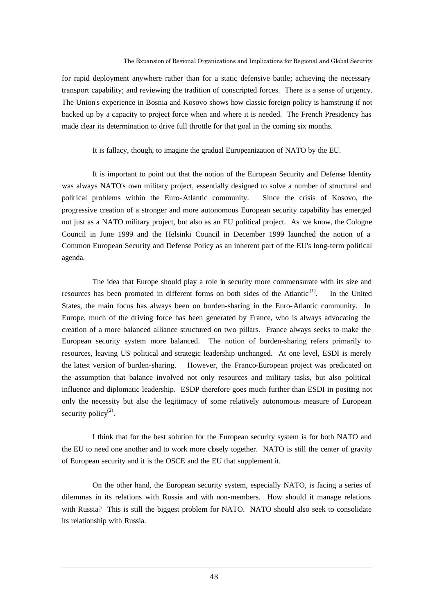for rapid deployment anywhere rather than for a static defensive battle; achieving the necessary transport capability; and reviewing the tradition of conscripted forces. There is a sense of urgency. The Union's experience in Bosnia and Kosovo shows how classic foreign policy is hamstrung if not backed up by a capacity to project force when and where it is needed. The French Presidency has made clear its determination to drive full throttle for that goal in the coming six months.

It is fallacy, though, to imagine the gradual Europeanization of NATO by the EU.

It is important to point out that the notion of the European Security and Defense Identity was always NATO's own military project, essentially designed to solve a number of structural and political problems within the Euro-Atlantic community. Since the crisis of Kosovo, the progressive creation of a stronger and more autonomous European security capability has emerged not just as a NATO military project, but also as an EU political project. As we know, the Cologne Council in June 1999 and the Helsinki Council in December 1999 launched the notion of a Common European Security and Defense Policy as an inherent part of the EU's long-term political agenda.

The idea that Europe should play a role in security more commensurate with its size and resources has been promoted in different forms on both sides of the Atlantic<sup> $<sup>(1)</sup>$ </sup>.</sup> . In the United States, the main focus has always been on burden-sharing in the Euro-Atlantic community. In Europe, much of the driving force has been generated by France, who is always advocating the creation of a more balanced alliance structured on two pillars. France always seeks to make the European security system more balanced. The notion of burden-sharing refers primarily to resources, leaving US political and strategic leadership unchanged. At one level, ESDI is merely the latest version of burden-sharing. However, the Franco-European project was predicated on the assumption that balance involved not only resources and military tasks, but also political influence and diplomatic leadership. ESDP therefore goes much further than ESDI in positing not only the necessity but also the legitimacy of some relatively autonomous measure of European security policy $^{(2)}$ .

I think that for the best solution for the European security system is for both NATO and the EU to need one another and to work more closely together. NATO is still the center of gravity of European security and it is the OSCE and the EU that supplement it.

On the other hand, the European security system, especially NATO, is facing a series of dilemmas in its relations with Russia and with non-members. How should it manage relations with Russia? This is still the biggest problem for NATO. NATO should also seek to consolidate its relationship with Russia.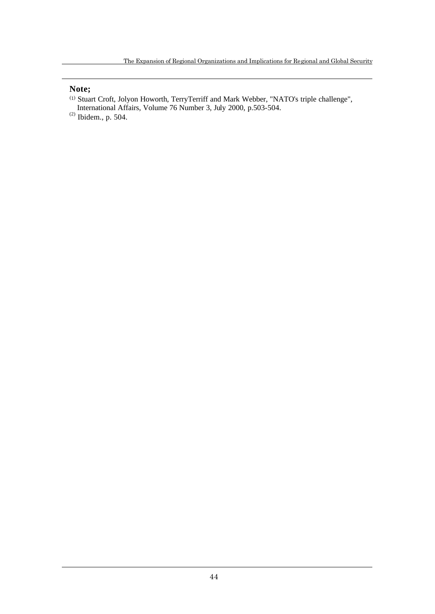### **Note;**

 $\overline{a}$ 

- (1) Stuart Croft, Jolyon Howorth, TerryTerriff and Mark Webber, "NATO's triple challenge",
- International Affairs, Volume 76 Number 3, July 2000, p.503-504.
- $^{(2)}$  Ibidem., p. 504.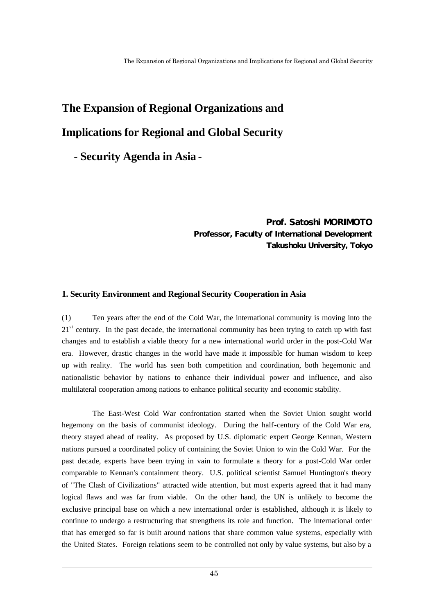# **The Expansion of Regional Organizations and Implications for Regional and Global Security**

**- Security Agenda in Asia -**

Prof. Satoshi MORIMOTO Professor, Faculty of International Development Takushoku University, Tokyo

### **1. Security Environment and Regional Security Cooperation in Asia**

(1) Ten years after the end of the Cold War, the international community is moving into the  $21<sup>st</sup>$  century. In the past decade, the international community has been trying to catch up with fast changes and to establish a viable theory for a new international world order in the post-Cold War era. However, drastic changes in the world have made it impossible for human wisdom to keep up with reality. The world has seen both competition and coordination, both hegemonic and nationalistic behavior by nations to enhance their individual power and influence, and also multilateral cooperation among nations to enhance political security and economic stability.

The East-West Cold War confrontation started when the Soviet Union sought world hegemony on the basis of communist ideology. During the half-century of the Cold War era, theory stayed ahead of reality. As proposed by U.S. diplomatic expert George Kennan, Western nations pursued a coordinated policy of containing the Soviet Union to win the Cold War. For the past decade, experts have been trying in vain to formulate a theory for a post-Cold War order comparable to Kennan's containment theory. U.S. political scientist Samuel Huntington's theory of "The Clash of Civilizations" attracted wide attention, but most experts agreed that it had many logical flaws and was far from viable. On the other hand, the UN is unlikely to become the exclusive principal base on which a new international order is established, although it is likely to continue to undergo a restructuring that strengthens its role and function. The international order that has emerged so far is built around nations that share common value systems, especially with the United States. Foreign relations seem to be controlled not only by value systems, but also by a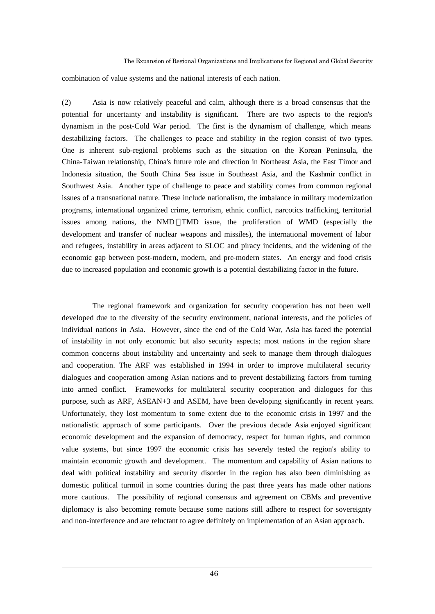combination of value systems and the national interests of each nation.

(2) Asia is now relatively peaceful and calm, although there is a broad consensus that the potential for uncertainty and instability is significant. There are two aspects to the region's dynamism in the post-Cold War period. The first is the dynamism of challenge, which means destabilizing factors. The challenges to peace and stability in the region consist of two types. One is inherent sub-regional problems such as the situation on the Korean Peninsula, the China-Taiwan relationship, China's future role and direction in Northeast Asia, the East Timor and Indonesia situation, the South China Sea issue in Southeast Asia, and the Kashmir conflict in Southwest Asia. Another type of challenge to peace and stability comes from common regional issues of a transnational nature. These include nationalism, the imbalance in military modernization programs, international organized crime, terrorism, ethnic conflict, narcotics trafficking, territorial issues among nations, the NMD TMD issue, the proliferation of WMD (especially the development and transfer of nuclear weapons and missiles), the international movement of labor and refugees, instability in areas adjacent to SLOC and piracy incidents, and the widening of the economic gap between post-modern, modern, and pre-modern states. An energy and food crisis due to increased population and economic growth is a potential destabilizing factor in the future.

The regional framework and organization for security cooperation has not been well developed due to the diversity of the security environment, national interests, and the policies of individual nations in Asia. However, since the end of the Cold War, Asia has faced the potential of instability in not only economic but also security aspects; most nations in the region share common concerns about instability and uncertainty and seek to manage them through dialogues and cooperation. The ARF was established in 1994 in order to improve multilateral security dialogues and cooperation among Asian nations and to prevent destabilizing factors from turning into armed conflict. Frameworks for multilateral security cooperation and dialogues for this purpose, such as ARF, ASEAN+3 and ASEM, have been developing significantly in recent years. Unfortunately, they lost momentum to some extent due to the economic crisis in 1997 and the nationalistic approach of some participants. Over the previous decade Asia enjoyed significant economic development and the expansion of democracy, respect for human rights, and common value systems, but since 1997 the economic crisis has severely tested the region's ability to maintain economic growth and development. The momentum and capability of Asian nations to deal with political instability and security disorder in the region has also been diminishing as domestic political turmoil in some countries during the past three years has made other nations more cautious. The possibility of regional consensus and agreement on CBMs and preventive diplomacy is also becoming remote because some nations still adhere to respect for sovereignty and non-interference and are reluctant to agree definitely on implementation of an Asian approach.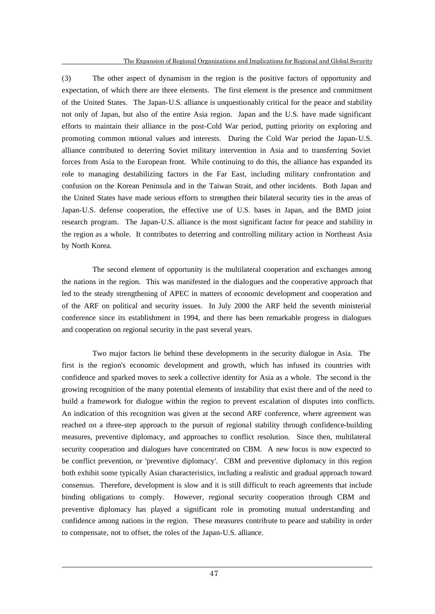(3) The other aspect of dynamism in the region is the positive factors of opportunity and expectation, of which there are three elements. The first element is the presence and commitment of the United States. The Japan-U.S. alliance is unquestionably critical for the peace and stability not only of Japan, but also of the entire Asia region. Japan and the U.S. have made significant efforts to maintain their alliance in the post-Cold War period, putting priority on exploring and promoting common national values and interests. During the Cold War period the Japan-U.S. alliance contributed to deterring Soviet military intervention in Asia and to transferring Soviet forces from Asia to the European front. While continuing to do this, the alliance has expanded its role to managing destabilizing factors in the Far East, including military confrontation and confusion on the Korean Peninsula and in the Taiwan Strait, and other incidents. Both Japan and the United States have made serious efforts to strengthen their bilateral security ties in the areas of Japan-U.S. defense cooperation, the effective use of U.S. bases in Japan, and the BMD joint research program. The Japan-U.S. alliance is the most significant factor for peace and stability in the region as a whole. It contributes to deterring and controlling military action in Northeast Asia by North Korea.

The second element of opportunity is the multilateral cooperation and exchanges among the nations in the region. This was manifested in the dialogues and the cooperative approach that led to the steady strengthening of APEC in matters of economic development and cooperation and of the ARF on political and security issues. In July 2000 the ARF held the seventh ministerial conference since its establishment in 1994, and there has been remarkable progress in dialogues and cooperation on regional security in the past several years.

Two major factors lie behind these developments in the security dialogue in Asia. The first is the region's economic development and growth, which has infused its countries with confidence and sparked moves to seek a collective identity for Asia as a whole. The second is the growing recognition of the many potential elements of instability that exist there and of the need to build a framework for dialogue within the region to prevent escalation of disputes into conflicts. An indication of this recognition was given at the second ARF conference, where agreement was reached on a three-step approach to the pursuit of regional stability through confidence-building measures, preventive diplomacy, and approaches to conflict resolution. Since then, multilateral security cooperation and dialogues have concentrated on CBM. A new focus is now expected to be conflict prevention, or 'preventive diplomacy'. CBM and preventive diplomacy in this region both exhibit some typically Asian characteristics, including a realistic and gradual approach toward consensus. Therefore, development is slow and it is still difficult to reach agreements that include binding obligations to comply. However, regional security cooperation through CBM and preventive diplomacy has played a significant role in promoting mutual understanding and confidence among nations in the region. These measures contribute to peace and stability in order to compensate, not to offset, the roles of the Japan-U.S. alliance.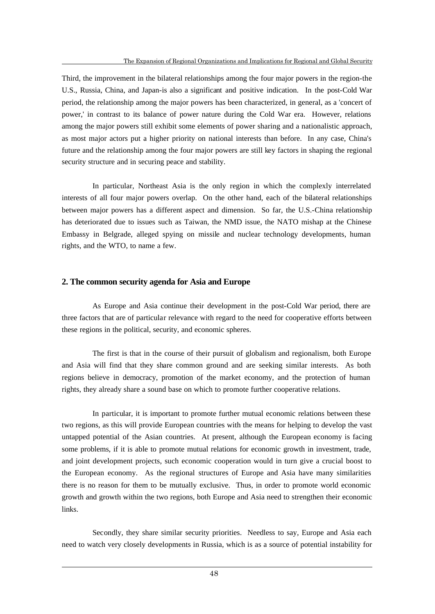Third, the improvement in the bilateral relationships among the four major powers in the region-the U.S., Russia, China, and Japan-is also a significant and positive indication. In the post-Cold War period, the relationship among the major powers has been characterized, in general, as a 'concert of power,' in contrast to its balance of power nature during the Cold War era. However, relations among the major powers still exhibit some elements of power sharing and a nationalistic approach, as most major actors put a higher priority on national interests than before. In any case, China's future and the relationship among the four major powers are still key factors in shaping the regional security structure and in securing peace and stability.

In particular, Northeast Asia is the only region in which the complexly interrelated interests of all four major powers overlap. On the other hand, each of the bilateral relationships between major powers has a different aspect and dimension. So far, the U.S.-China relationship has deteriorated due to issues such as Taiwan, the NMD issue, the NATO mishap at the Chinese Embassy in Belgrade, alleged spying on missile and nuclear technology developments, human rights, and the WTO, to name a few.

### **2. The common security agenda for Asia and Europe**

 $\overline{a}$ 

As Europe and Asia continue their development in the post-Cold War period, there are three factors that are of particular relevance with regard to the need for cooperative efforts between these regions in the political, security, and economic spheres.

The first is that in the course of their pursuit of globalism and regionalism, both Europe and Asia will find that they share common ground and are seeking similar interests. As both regions believe in democracy, promotion of the market economy, and the protection of human rights, they already share a sound base on which to promote further cooperative relations.

In particular, it is important to promote further mutual economic relations between these two regions, as this will provide European countries with the means for helping to develop the vast untapped potential of the Asian countries. At present, although the European economy is facing some problems, if it is able to promote mutual relations for economic growth in investment, trade, and joint development projects, such economic cooperation would in turn give a crucial boost to the European economy. As the regional structures of Europe and Asia have many similarities there is no reason for them to be mutually exclusive. Thus, in order to promote world economic growth and growth within the two regions, both Europe and Asia need to strengthen their economic links.

Secondly, they share similar security priorities. Needless to say, Europe and Asia each need to watch very closely developments in Russia, which is as a source of potential instability for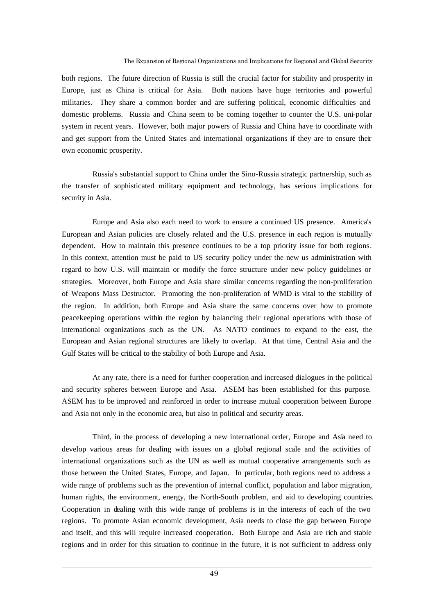both regions. The future direction of Russia is still the crucial factor for stability and prosperity in Europe, just as China is critical for Asia. Both nations have huge territories and powerful militaries. They share a common border and are suffering political, economic difficulties and domestic problems. Russia and China seem to be coming together to counter the U.S. uni-polar system in recent years. However, both major powers of Russia and China have to coordinate with and get support from the United States and international organizations if they are to ensure their own economic prosperity.

Russia's substantial support to China under the Sino-Russia strategic partnership, such as the transfer of sophisticated military equipment and technology, has serious implications for security in Asia.

Europe and Asia also each need to work to ensure a continued US presence. America's European and Asian policies are closely related and the U.S. presence in each region is mutually dependent. How to maintain this presence continues to be a top priority issue for both regions. In this context, attention must be paid to US security policy under the new us administration with regard to how U.S. will maintain or modify the force structure under new policy guidelines or strategies. Moreover, both Europe and Asia share similar concerns regarding the non-proliferation of Weapons Mass Destructor. Promoting the non-proliferation of WMD is vital to the stability of the region. In addition, both Europe and Asia share the same concerns over how to promote peacekeeping operations within the region by balancing their regional operations with those of international organizations such as the UN. As NATO continues to expand to the east, the European and Asian regional structures are likely to overlap. At that time, Central Asia and the Gulf States will be critical to the stability of both Europe and Asia.

At any rate, there is a need for further cooperation and increased dialogues in the political and security spheres between Europe and Asia. ASEM has been established for this purpose. ASEM has to be improved and reinforced in order to increase mutual cooperation between Europe and Asia not only in the economic area, but also in political and security areas.

Third, in the process of developing a new international order, Europe and Asia need to develop various areas for dealing with issues on a global regional scale and the activities of international organizations such as the UN as well as mutual cooperative arrangements such as those between the United States, Europe, and Japan. In particular, both regions need to address a wide range of problems such as the prevention of internal conflict, population and labor migration, human rights, the environment, energy, the North-South problem, and aid to developing countries. Cooperation in dealing with this wide range of problems is in the interests of each of the two regions. To promote Asian economic development, Asia needs to close the gap between Europe and itself, and this will require increased cooperation. Both Europe and Asia are rich and stable regions and in order for this situation to continue in the future, it is not sufficient to address only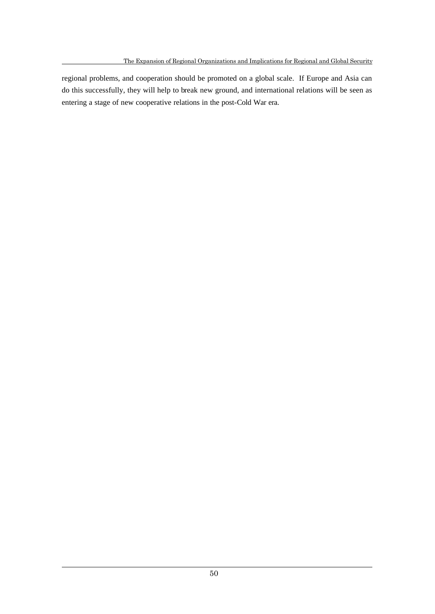regional problems, and cooperation should be promoted on a global scale. If Europe and Asia can do this successfully, they will help to break new ground, and international relations will be seen as entering a stage of new cooperative relations in the post-Cold War era.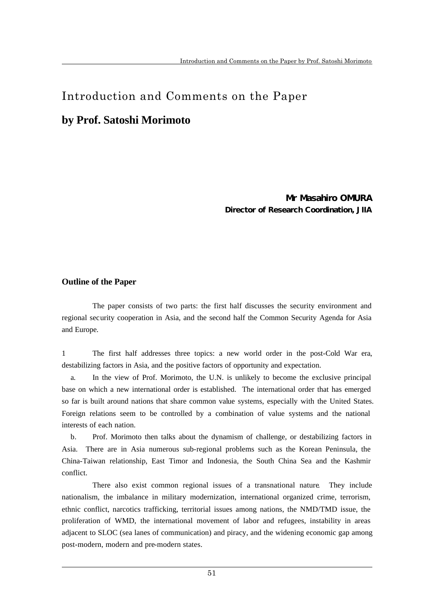# Introduction and Comments on the Paper

# **by Prof. Satoshi Morimoto**

Mr Masahiro OM JRA Director of Research Coordination, JIIA

### **Outline of the Paper**

 $\overline{a}$ 

The paper consists of two parts: the first half discusses the security environment and regional security cooperation in Asia, and the second half the Common Security Agenda for Asia and Europe.

1 The first half addresses three topics: a new world order in the post-Cold War era, destabilizing factors in Asia, and the positive factors of opportunity and expectation.

 a. In the view of Prof. Morimoto, the U.N. is unlikely to become the exclusive principal base on which a new international order is established. The international order that has emerged so far is built around nations that share common value systems, especially with the United States. Foreign relations seem to be controlled by a combination of value systems and the national interests of each nation.

 b. Prof. Morimoto then talks about the dynamism of challenge, or destabilizing factors in Asia. There are in Asia numerous sub-regional problems such as the Korean Peninsula, the China-Taiwan relationship, East Timor and Indonesia, the South China Sea and the Kashmir conflict.

There also exist common regional issues of a transnational nature. They include nationalism, the imbalance in military modernization, international organized crime, terrorism, ethnic conflict, narcotics trafficking, territorial issues among nations, the NMD/TMD issue, the proliferation of WMD, the international movement of labor and refugees, instability in areas adjacent to SLOC (sea lanes of communication) and piracy, and the widening economic gap among post-modern, modern and pre-modern states.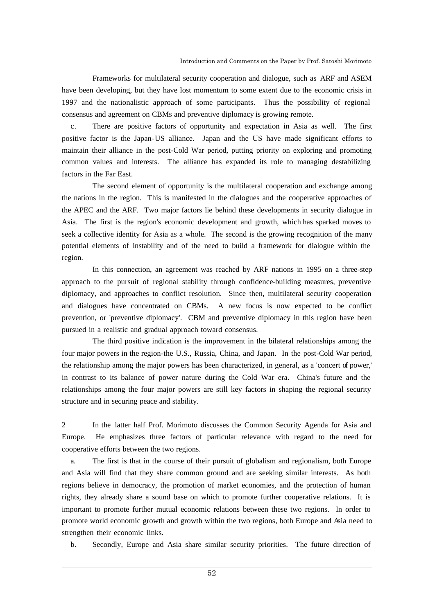Frameworks for multilateral security cooperation and dialogue, such as ARF and ASEM have been developing, but they have lost momentum to some extent due to the economic crisis in 1997 and the nationalistic approach of some participants. Thus the possibility of regional consensus and agreement on CBMs and preventive diplomacy is growing remote.

 c. There are positive factors of opportunity and expectation in Asia as well. The first positive factor is the Japan-US alliance. Japan and the US have made significant efforts to maintain their alliance in the post-Cold War period, putting priority on exploring and promoting common values and interests. The alliance has expanded its role to managing destabilizing factors in the Far East.

The second element of opportunity is the multilateral cooperation and exchange among the nations in the region. This is manifested in the dialogues and the cooperative approaches of the APEC and the ARF. Two major factors lie behind these developments in security dialogue in Asia. The first is the region's economic development and growth, which has sparked moves to seek a collective identity for Asia as a whole. The second is the growing recognition of the many potential elements of instability and of the need to build a framework for dialogue within the region.

In this connection, an agreement was reached by ARF nations in 1995 on a three-step approach to the pursuit of regional stability through confidence-building measures, preventive diplomacy, and approaches to conflict resolution. Since then, multilateral security cooperation and dialogues have concentrated on CBMs. A new focus is now expected to be conflict prevention, or 'preventive diplomacy'. CBM and preventive diplomacy in this region have been pursued in a realistic and gradual approach toward consensus.

The third positive indication is the improvement in the bilateral relationships among the four major powers in the region-the U.S., Russia, China, and Japan. In the post-Cold War period, the relationship among the major powers has been characterized, in general, as a 'concert of power,' in contrast to its balance of power nature during the Cold War era. China's future and the relationships among the four major powers are still key factors in shaping the regional security structure and in securing peace and stability.

2 In the latter half Prof. Morimoto discusses the Common Security Agenda for Asia and Europe. He emphasizes three factors of particular relevance with regard to the need for cooperative efforts between the two regions.

 a. The first is that in the course of their pursuit of globalism and regionalism, both Europe and Asia will find that they share common ground and are seeking similar interests. As both regions believe in democracy, the promotion of market economies, and the protection of human rights, they already share a sound base on which to promote further cooperative relations. It is important to promote further mutual economic relations between these two regions. In order to promote world economic growth and growth within the two regions, both Europe and Asia need to strengthen their economic links.

b. Secondly, Europe and Asia share similar security priorities. The future direction of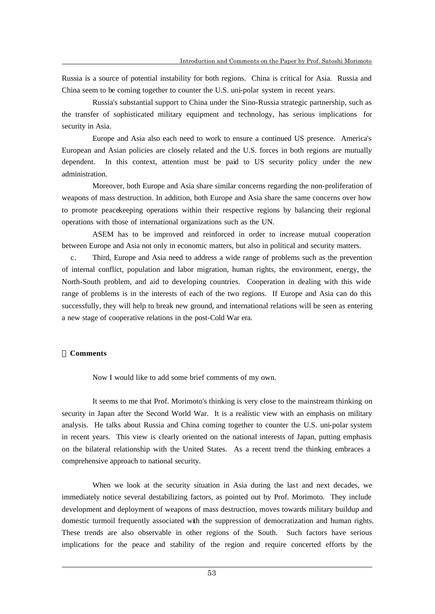Russia is a source of potential instability for both regions. China is critical for Asia. Russia and China seem to be coming together to counter the U.S. uni-polar system in recent years.

Russia's substantial support to China under the Sino-Russia strategic partnership, such as the transfer of sophisticated military equipment and technology, has serious implications for security in Asia.

Europe and Asia also each need to work to ensure a continued US presence. America's European and Asian policies are closely related and the U.S. forces in both regions are mutually dependent. In this context, attention must be paid to US security policy under the new administration.

Moreover, both Europe and Asia share similar concerns regarding the non-proliferation of weapons of mass destruction. In addition, both Europe and Asia share the same concerns over how to promote peacekeeping operations within their respective regions by balancing their regional operations with those of international organizations such as the UN.

ASEM has to be improved and reinforced in order to increase mutual cooperation between Europe and Asia not only in economic matters, but also in political and security matters.

 c. Third, Europe and Asia need to address a wide range of problems such as the prevention of internal conflict, population and labor migration, human rights, the environment, energy, the North-South problem, and aid to developing countries. Cooperation in dealing with this wide range of problems is in the interests of each of the two regions. If Europe and Asia can do this successfully, they will help to break new ground, and international relations will be seen as entering a new stage of cooperative relations in the post-Cold War era.

### **Comments**

 $\overline{a}$ 

Now I would like to add some brief comments of my own.

It seems to me that Prof. Morimoto's thinking is very close to the mainstream thinking on security in Japan after the Second World War. It is a realistic view with an emphasis on military analysis. He talks about Russia and China coming together to counter the U.S. uni-polar system in recent years. This view is clearly oriented on the national interests of Japan, putting emphasis on the bilateral relationship with the United States. As a recent trend the thinking embraces a comprehensive approach to national security.

When we look at the security situation in Asia during the last and next decades, we immediately notice several destabilizing factors, as pointed out by Prof. Morimoto. They include development and deployment of weapons of mass destruction, moves towards military buildup and domestic turmoil frequently associated with the suppression of democratization and human rights. These trends are also observable in other regions of the South. Such factors have serious implications for the peace and stability of the region and require concerted efforts by the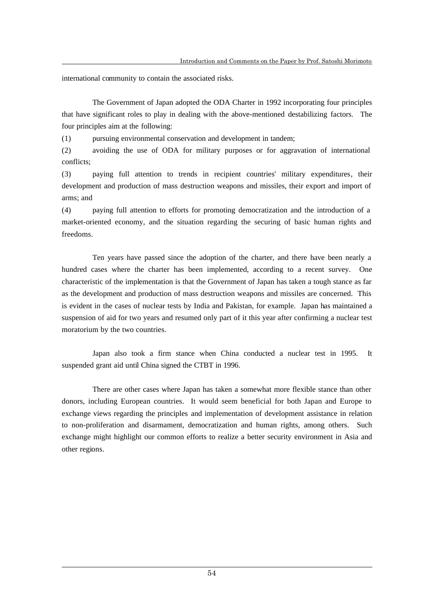international community to contain the associated risks.

The Government of Japan adopted the ODA Charter in 1992 incorporating four principles that have significant roles to play in dealing with the above-mentioned destabilizing factors. The four principles aim at the following:

(1) pursuing environmental conservation and development in tandem;

(2) avoiding the use of ODA for military purposes or for aggravation of international conflicts;

(3) paying full attention to trends in recipient countries' military expenditures, their development and production of mass destruction weapons and missiles, their export and import of arms; and

(4) paying full attention to efforts for promoting democratization and the introduction of a market-oriented economy, and the situation regarding the securing of basic human rights and freedoms.

Ten years have passed since the adoption of the charter, and there have been nearly a hundred cases where the charter has been implemented, according to a recent survey. One characteristic of the implementation is that the Government of Japan has taken a tough stance as far as the development and production of mass destruction weapons and missiles are concerned. This is evident in the cases of nuclear tests by India and Pakistan, for example. Japan has maintained a suspension of aid for two years and resumed only part of it this year after confirming a nuclear test moratorium by the two countries.

Japan also took a firm stance when China conducted a nuclear test in 1995. It suspended grant aid until China signed the CTBT in 1996.

There are other cases where Japan has taken a somewhat more flexible stance than other donors, including European countries. It would seem beneficial for both Japan and Europe to exchange views regarding the principles and implementation of development assistance in relation to non-proliferation and disarmament, democratization and human rights, among others. Such exchange might highlight our common efforts to realize a better security environment in Asia and other regions.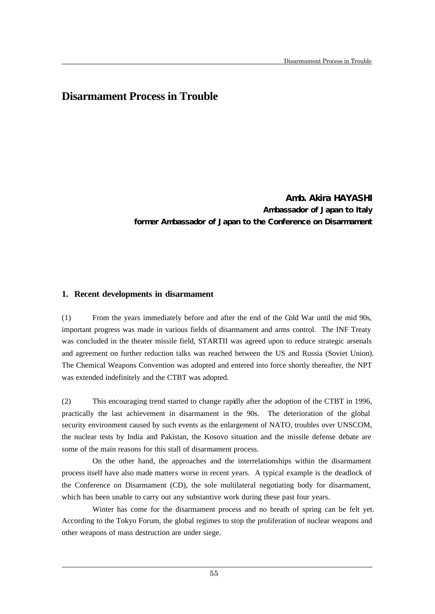# **Disarmament Process in Trouble**

Amb. Akira HAYASHI Ambassador of Japan to Italy former Ambassador of Japan to the Conference on Disarmament

### **1. Recent developments in disarmament**

 $\overline{a}$ 

(1) From the years immediately before and after the end of the Cold War until the mid 90s, important progress was made in various fields of disarmament and arms control. The INF Treaty was concluded in the theater missile field, STARTII was agreed upon to reduce strategic arsenals and agreement on further reduction talks was reached between the US and Russia (Soviet Union). The Chemical Weapons Convention was adopted and entered into force shortly thereafter, the NPT was extended indefinitely and the CTBT was adopted.

(2) This encouraging trend started to change rapidly after the adoption of the CTBT in 1996, practically the last achievement in disarmament in the 90s. The deterioration of the global security environment caused by such events as the enlargement of NATO, troubles over UNSCOM, the nuclear tests by India and Pakistan, the Kosovo situation and the missile defense debate are some of the main reasons for this stall of disarmament process.

On the other hand, the approaches and the interrelationships within the disarmament process itself have also made matters worse in recent years. A typical example is the deadlock of the Conference on Disarmament (CD), the sole multilateral negotiating body for disarmament, which has been unable to carry out any substantive work during these past four years.

Winter has come for the disarmament process and no breath of spring can be felt yet. According to the Tokyo Forum, the global regimes to stop the proliferation of nuclear weapons and other weapons of mass destruction are under siege.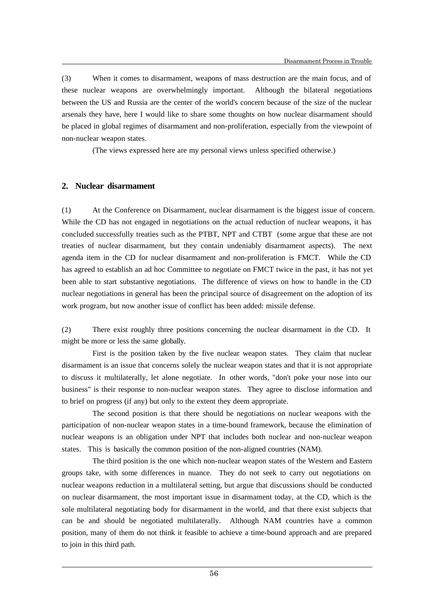(3) When it comes to disarmament, weapons of mass destruction are the main focus, and of these nuclear weapons are overwhelmingly important. Although the bilateral negotiations between the US and Russia are the center of the world's concern because of the size of the nuclear arsenals they have, here I would like to share some thoughts on how nuclear disarmament should be placed in global regimes of disarmament and non-proliferation, especially from the viewpoint of non-nuclear weapon states.

(The views expressed here are my personal views unless specified otherwise.)

### **2. Nuclear disarmament**

 $\overline{a}$ 

(1) At the Conference on Disarmament, nuclear disarmament is the biggest issue of concern. While the CD has not engaged in negotiations on the actual reduction of nuclear weapons, it has concluded successfully treaties such as the PTBT, NPT and CTBT (some argue that these are not treaties of nuclear disarmament, but they contain undeniably disarmament aspects). The next agenda item in the CD for nuclear disarmament and non-proliferation is FMCT. While the CD has agreed to establish an ad hoc Committee to negotiate on FMCT twice in the past, it has not yet been able to start substantive negotiations. The difference of views on how to handle in the CD nuclear negotiations in general has been the principal source of disagreement on the adoption of its work program, but now another issue of conflict has been added: missile defense.

(2) There exist roughly three positions concerning the nuclear disarmament in the CD. It might be more or less the same globally.

First is the position taken by the five nuclear weapon states. They claim that nuclear disarmament is an issue that concerns solely the nuclear weapon states and that it is not appropriate to discuss it multilaterally, let alone negotiate. In other words, "don't poke your nose into our business" is their response to non-nuclear weapon states. They agree to disclose information and to brief on progress (if any) but only to the extent they deem appropriate.

The second position is that there should be negotiations on nuclear weapons with the participation of non-nuclear weapon states in a time-bound framework, because the elimination of nuclear weapons is an obligation under NPT that includes both nuclear and non-nuclear weapon states. This is basically the common position of the non-aligned countries (NAM).

The third position is the one which non-nuclear weapon states of the Western and Eastern groups take, with some differences in nuance. They do not seek to carry out negotiations on nuclear weapons reduction in a multilateral setting, but argue that discussions should be conducted on nuclear disarmament, the most important issue in disarmament today, at the CD, which is the sole multilateral negotiating body for disarmament in the world, and that there exist subjects that can be and should be negotiated multilaterally. Although NAM countries have a common position, many of them do not think it feasible to achieve a time-bound approach and are prepared to join in this third path.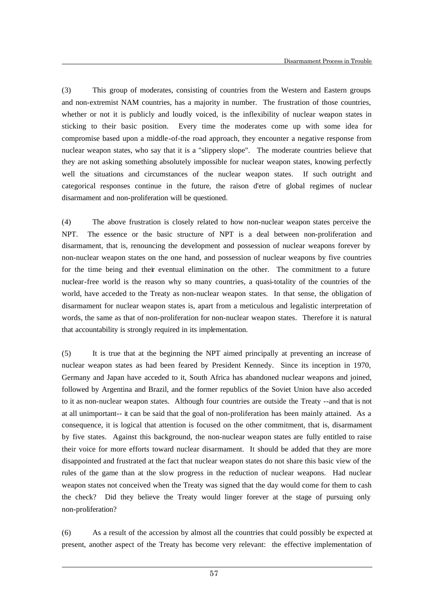(3) This group of moderates, consisting of countries from the Western and Eastern groups and non-extremist NAM countries, has a majority in number. The frustration of those countries, whether or not it is publicly and loudly voiced, is the inflexibility of nuclear weapon states in sticking to their basic position. Every time the moderates come up with some idea for compromise based upon a middle-of-the road approach, they encounter a negative response from nuclear weapon states, who say that it is a "slippery slope". The moderate countries believe that they are not asking something absolutely impossible for nuclear weapon states, knowing perfectly well the situations and circumstances of the nuclear weapon states. If such outright and categorical responses continue in the future, the raison d'etre of global regimes of nuclear disarmament and non-proliferation will be questioned.

(4) The above frustration is closely related to how non-nuclear weapon states perceive the NPT. The essence or the basic structure of NPT is a deal between non-proliferation and disarmament, that is, renouncing the development and possession of nuclear weapons forever by non-nuclear weapon states on the one hand, and possession of nuclear weapons by five countries for the time being and their eventual elimination on the other. The commitment to a future nuclear-free world is the reason why so many countries, a quasi-totality of the countries of the world, have acceded to the Treaty as non-nuclear weapon states. In that sense, the obligation of disarmament for nuclear weapon states is, apart from a meticulous and legalistic interpretation of words, the same as that of non-proliferation for non-nuclear weapon states. Therefore it is natural that accountability is strongly required in its implementation.

(5) It is true that at the beginning the NPT aimed principally at preventing an increase of nuclear weapon states as had been feared by President Kennedy. Since its inception in 1970, Germany and Japan have acceded to it, South Africa has abandoned nuclear weapons and joined, followed by Argentina and Brazil, and the former republics of the Soviet Union have also acceded to it as non-nuclear weapon states. Although four countries are outside the Treaty --and that is not at all unimportant-- it can be said that the goal of non-proliferation has been mainly attained. As a consequence, it is logical that attention is focused on the other commitment, that is, disarmament by five states. Against this background, the non-nuclear weapon states are fully entitled to raise their voice for more efforts toward nuclear disarmament. It should be added that they are more disappointed and frustrated at the fact that nuclear weapon states do not share this basic view of the rules of the game than at the slow progress in the reduction of nuclear weapons. Had nuclear weapon states not conceived when the Treaty was signed that the day would come for them to cash the check? Did they believe the Treaty would linger forever at the stage of pursuing only non-proliferation?

(6) As a result of the accession by almost all the countries that could possibly be expected at present, another aspect of the Treaty has become very relevant: the effective implementation of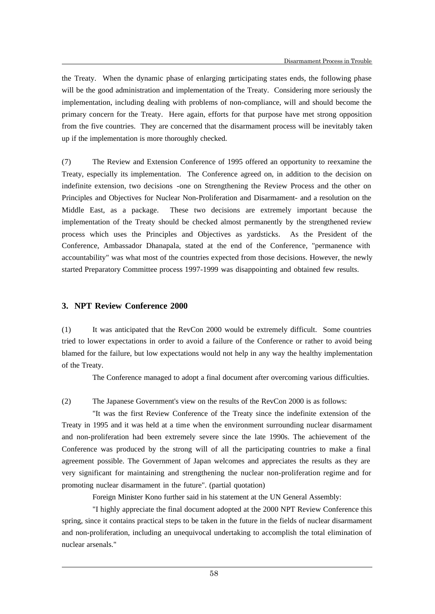the Treaty. When the dynamic phase of enlarging participating states ends, the following phase will be the good administration and implementation of the Treaty. Considering more seriously the implementation, including dealing with problems of non-compliance, will and should become the primary concern for the Treaty. Here again, efforts for that purpose have met strong opposition from the five countries. They are concerned that the disarmament process will be inevitably taken up if the implementation is more thoroughly checked.

(7) The Review and Extension Conference of 1995 offered an opportunity to reexamine the Treaty, especially its implementation. The Conference agreed on, in addition to the decision on indefinite extension, two decisions -one on Strengthening the Review Process and the other on Principles and Objectives for Nuclear Non-Proliferation and Disarmament- and a resolution on the Middle East, as a package. These two decisions are extremely important because the implementation of the Treaty should be checked almost permanently by the strengthened review process which uses the Principles and Objectives as yardsticks. As the President of the Conference, Ambassador Dhanapala, stated at the end of the Conference, "permanence with accountability" was what most of the countries expected from those decisions. However, the newly started Preparatory Committee process 1997-1999 was disappointing and obtained few results.

### **3. NPT Review Conference 2000**

 $\overline{a}$ 

(1) It was anticipated that the RevCon 2000 would be extremely difficult. Some countries tried to lower expectations in order to avoid a failure of the Conference or rather to avoid being blamed for the failure, but low expectations would not help in any way the healthy implementation of the Treaty.

The Conference managed to adopt a final document after overcoming various difficulties.

(2) The Japanese Government's view on the results of the RevCon 2000 is as follows:

"It was the first Review Conference of the Treaty since the indefinite extension of the Treaty in 1995 and it was held at a time when the environment surrounding nuclear disarmament and non-proliferation had been extremely severe since the late 1990s. The achievement of the Conference was produced by the strong will of all the participating countries to make a final agreement possible. The Government of Japan welcomes and appreciates the results as they are very significant for maintaining and strengthening the nuclear non-proliferation regime and for promoting nuclear disarmament in the future". (partial quotation)

Foreign Minister Kono further said in his statement at the UN General Assembly:

"I highly appreciate the final document adopted at the 2000 NPT Review Conference this spring, since it contains practical steps to be taken in the future in the fields of nuclear disarmament and non-proliferation, including an unequivocal undertaking to accomplish the total elimination of nuclear arsenals."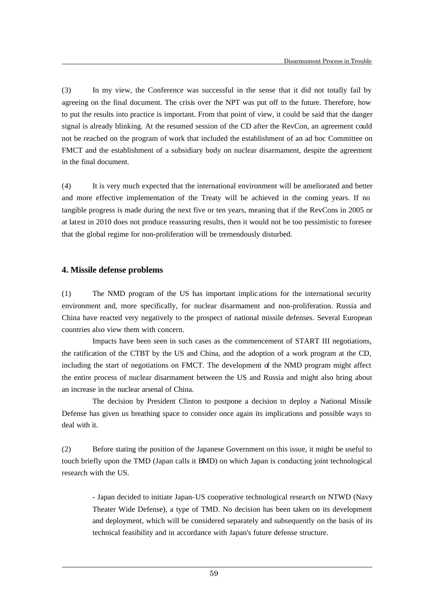(3) In my view, the Conference was successful in the sense that it did not totally fail by agreeing on the final document. The crisis over the NPT was put off to the future. Therefore, how to put the results into practice is important. From that point of view, it could be said that the danger signal is already blinking. At the resumed session of the CD after the RevCon, an agreement could not be reached on the program of work that included the establishment of an ad hoc Committee on FMCT and the establishment of a subsidiary body on nuclear disarmament, despite the agreement in the final document.

(4) It is very much expected that the international environment will be ameliorated and better and more effective implementation of the Treaty will be achieved in the coming years. If no tangible progress is made during the next five or ten years, meaning that if the RevCons in 2005 or at latest in 2010 does not produce reassuring results, then it would not be too pessimistic to foresee that the global regime for non-proliferation will be tremendously disturbed.

### **4. Missile defense problems**

 $\overline{a}$ 

(1) The NMD program of the US has important implic ations for the international security environment and, more specifically, for nuclear disarmament and non-proliferation. Russia and China have reacted very negatively to the prospect of national missile defenses. Several European countries also view them with concern.

Impacts have been seen in such cases as the commencement of START III negotiations, the ratification of the CTBT by the US and China, and the adoption of a work program at the CD, including the start of negotiations on FMCT. The development of the NMD program might affect the entire process of nuclear disarmament between the US and Russia and might also bring about an increase in the nuclear arsenal of China.

The decision by President Clinton to postpone a decision to deploy a National Missile Defense has given us breathing space to consider once again its implications and possible ways to deal with it.

(2) Before stating the position of the Japanese Government on this issue, it might be useful to touch briefly upon the TMD (Japan calls it BMD) on which Japan is conducting joint technological research with the US.

- Japan decided to initiate Japan-US cooperative technological research on NTWD (Navy Theater Wide Defense), a type of TMD. No decision has been taken on its development and deployment, which will be considered separately and subsequently on the basis of its technical feasibility and in accordance with Japan's future defense structure.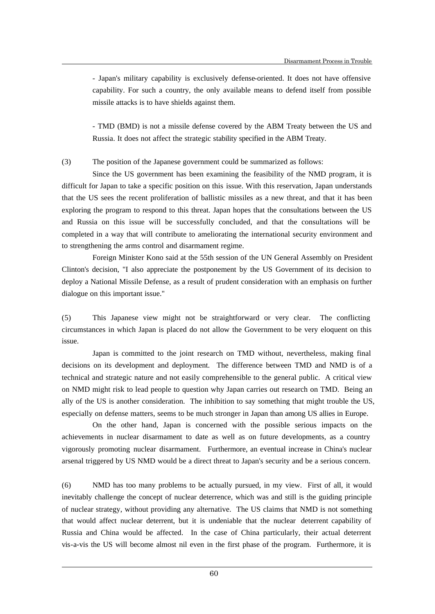- Japan's military capability is exclusively defense-oriented. It does not have offensive capability. For such a country, the only available means to defend itself from possible missile attacks is to have shields against them.

- TMD (BMD) is not a missile defense covered by the ABM Treaty between the US and Russia. It does not affect the strategic stability specified in the ABM Treaty.

### (3) The position of the Japanese government could be summarized as follows:

Since the US government has been examining the feasibility of the NMD program, it is difficult for Japan to take a specific position on this issue. With this reservation, Japan understands that the US sees the recent proliferation of ballistic missiles as a new threat, and that it has been exploring the program to respond to this threat. Japan hopes that the consultations between the US and Russia on this issue will be successfully concluded, and that the consultations will be completed in a way that will contribute to ameliorating the international security environment and to strengthening the arms control and disarmament regime.

Foreign Minister Kono said at the 55th session of the UN General Assembly on President Clinton's decision, "I also appreciate the postponement by the US Government of its decision to deploy a National Missile Defense, as a result of prudent consideration with an emphasis on further dialogue on this important issue."

(5) This Japanese view might not be straightforward or very clear. The conflicting circumstances in which Japan is placed do not allow the Government to be very eloquent on this issue.

Japan is committed to the joint research on TMD without, nevertheless, making final decisions on its development and deployment. The difference between TMD and NMD is of a technical and strategic nature and not easily comprehensible to the general public. A critical view on NMD might risk to lead people to question why Japan carries out research on TMD. Being an ally of the US is another consideration. The inhibition to say something that might trouble the US, especially on defense matters, seems to be much stronger in Japan than among US allies in Europe.

On the other hand, Japan is concerned with the possible serious impacts on the achievements in nuclear disarmament to date as well as on future developments, as a country vigorously promoting nuclear disarmament. Furthermore, an eventual increase in China's nuclear arsenal triggered by US NMD would be a direct threat to Japan's security and be a serious concern.

(6) NMD has too many problems to be actually pursued, in my view. First of all, it would inevitably challenge the concept of nuclear deterrence, which was and still is the guiding principle of nuclear strategy, without providing any alternative. The US claims that NMD is not something that would affect nuclear deterrent, but it is undeniable that the nuclear deterrent capability of Russia and China would be affected. In the case of China particularly, their actual deterrent vis-a-vis the US will become almost nil even in the first phase of the program. Furthermore, it is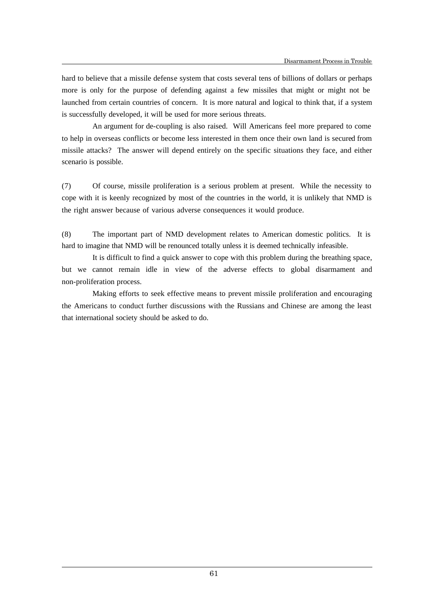hard to believe that a missile defense system that costs several tens of billions of dollars or perhaps more is only for the purpose of defending against a few missiles that might or might not be launched from certain countries of concern. It is more natural and logical to think that, if a system is successfully developed, it will be used for more serious threats.

An argument for de-coupling is also raised. Will Americans feel more prepared to come to help in overseas conflicts or become less interested in them once their own land is secured from missile attacks? The answer will depend entirely on the specific situations they face, and either scenario is possible.

(7) Of course, missile proliferation is a serious problem at present. While the necessity to cope with it is keenly recognized by most of the countries in the world, it is unlikely that NMD is the right answer because of various adverse consequences it would produce.

(8) The important part of NMD development relates to American domestic politics. It is hard to imagine that NMD will be renounced totally unless it is deemed technically infeasible.

It is difficult to find a quick answer to cope with this problem during the breathing space, but we cannot remain idle in view of the adverse effects to global disarmament and non-proliferation process.

Making efforts to seek effective means to prevent missile proliferation and encouraging the Americans to conduct further discussions with the Russians and Chinese are among the least that international society should be asked to do.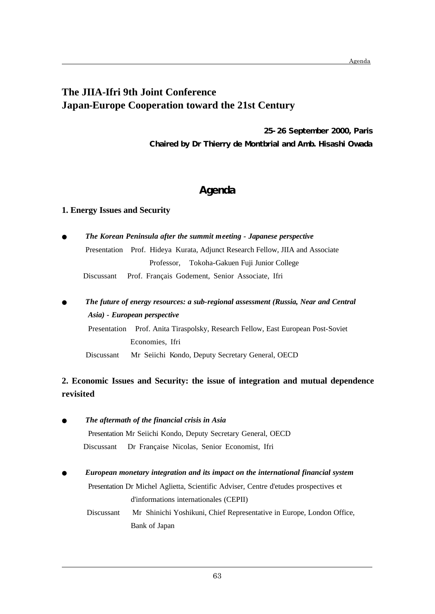# **The JIIA-Ifri 9th Joint Conference Japan-Europe Cooperation toward the 21st Century**

**25-26 September 2000, Paris Chaired by Dr Thierry de Montbrial and Amb. Hisashi Owada**

# **Agenda**

### **1. Energy Issues and Security**

|            | Presentation Prof. Hideya Kurata, Adjunct Research Fellow, JIIA and Associate |
|------------|-------------------------------------------------------------------------------|
|            | Professor, Tokoha-Gakuen Fuji Junior College                                  |
| Discussant | Prof. Français Godement, Senior Associate, Ifri                               |
|            |                                                                               |

# *Asia) - European perspective*

 Presentation Prof. Anita Tiraspolsky, Research Fellow, East European Post-Soviet Economies, Ifri

Discussant Mr Seiichi Kondo, Deputy Secretary General, OECD

## **2. Economic Issues and Security: the issue of integration and mutual dependence revisited**

### *The aftermath of the financial crisis in Asia*

 $\overline{a}$ 

Presentation Mr Seiichi Kondo, Deputy Secretary General, OECD

Discussant Dr Française Nicolas, Senior Economist, Ifri

### *European monetary integration and its impact on the international financial system*

 Presentation Dr Michel Aglietta, Scientific Adviser, Centre d'etudes prospectives et d'informations internationales (CEPII)

 Discussant Mr Shinichi Yoshikuni, Chief Representative in Europe, London Office, Bank of Japan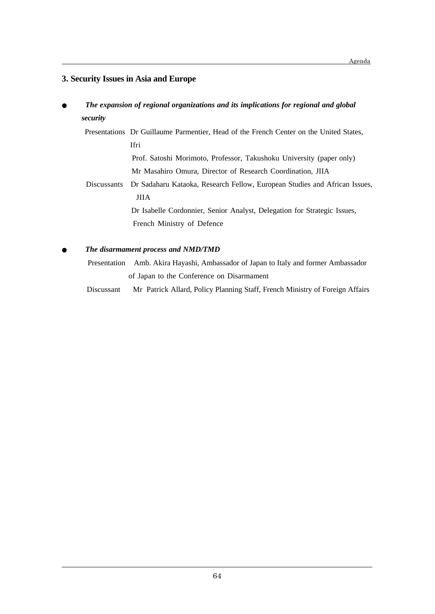### **3. Security Issues in Asia and Europe**

### *The expansion of regional organizations and its implications for regional and global security*

Presentations Dr Guillaume Parmentier, Head of the French Center on the United States, Ifri

> Prof. Satoshi Morimoto, Professor, Takushoku University (paper only) Mr Masahiro Omura, Director of Research Coordination, JIIA

 Discussants Dr Sadaharu Kataoka, Research Fellow, European Studies and African Issues, JIIA

> Dr Isabelle Cordonnier, Senior Analyst, Delegation for Strategic Issues, French Ministry of Defence

### *The disarmament process and NMD/TMD*

 $\overline{a}$ 

 Presentation Amb. Akira Hayashi, Ambassador of Japan to Italy and former Ambassador of Japan to the Conference on Disarmament

Discussant Mr Patrick Allard, Policy Planning Staff, French Ministry of Foreign Affairs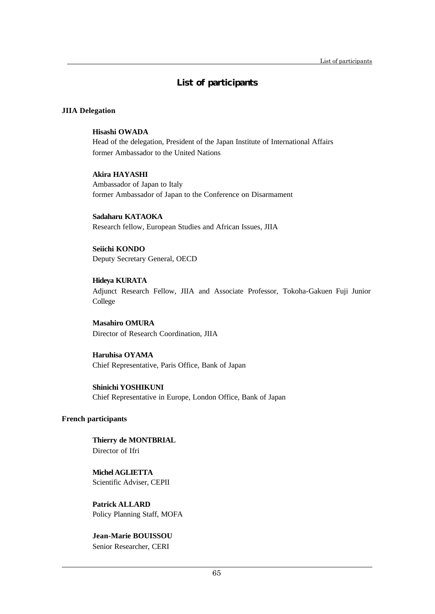# **List of participants**

### **JIIA Delegation**

### **Hisashi OWADA**

Head of the delegation, President of the Japan Institute of International Affairs former Ambassador to the United Nations

### **Akira HAYASHI**

Ambassador of Japan to Italy former Ambassador of Japan to the Conference on Disarmament

**Sadaharu KATAOKA** Research fellow, European Studies and African Issues, JIIA

**Seiichi KONDO** Deputy Secretary General, OECD

**Hideya KURATA** Adjunct Research Fellow, JIIA and Associate Professor, Tokoha-Gakuen Fuji Junior College

**Masahiro OMURA** Director of Research Coordination, JIIA

**Haruhisa OYAMA** Chief Representative, Paris Office, Bank of Japan

**Shinichi YOSHIKUNI** Chief Representative in Europe, London Office, Bank of Japan

### **French participants**

 $\overline{a}$ 

**Thierry de MONTBRIAL** Director of Ifri

**Michel AGLIETTA** Scientific Adviser, CEPII

**Patrick ALLARD** Policy Planning Staff, MOFA

**Jean-Marie BOUISSOU** Senior Researcher, CERI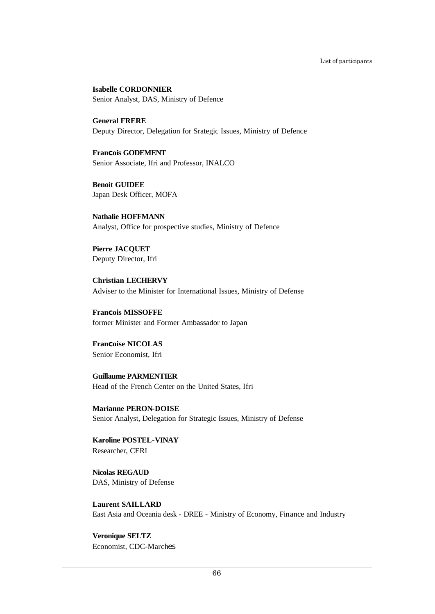**Isabelle CORDONNIER** Senior Analyst, DAS, Ministry of Defence

**General FRERE** Deputy Director, Delegation for Srategic Issues, Ministry of Defence

**Fran**c**ois GODEMENT** Senior Associate, Ifri and Professor, INALCO

**Benoit GUIDEE** Japan Desk Officer, MOFA

**Nathalie HOFFMANN** Analyst, Office for prospective studies, Ministry of Defence

**Pierre JACQUET** Deputy Director, Ifri

**Christian LECHERVY** Adviser to the Minister for International Issues, Ministry of Defense

**Fran**c**ois MISSOFFE** former Minister and Former Ambassador to Japan

**Fran**c**oise NICOLAS** Senior Economist, Ifri

**Guillaume PARMENTIER** Head of the French Center on the United States, Ifri

**Marianne PERON-DOISE** Senior Analyst, Delegation for Strategic Issues, Ministry of Defense

**Karoline POSTEL-VINAY** Researcher, CERI

**Nicolas REGAUD** DAS, Ministry of Defense

**Laurent SAILLARD** East Asia and Oceania desk - DREE - Ministry of Economy, Finance and Industry

**Veronique SELTZ** Economist, CDC-Marches